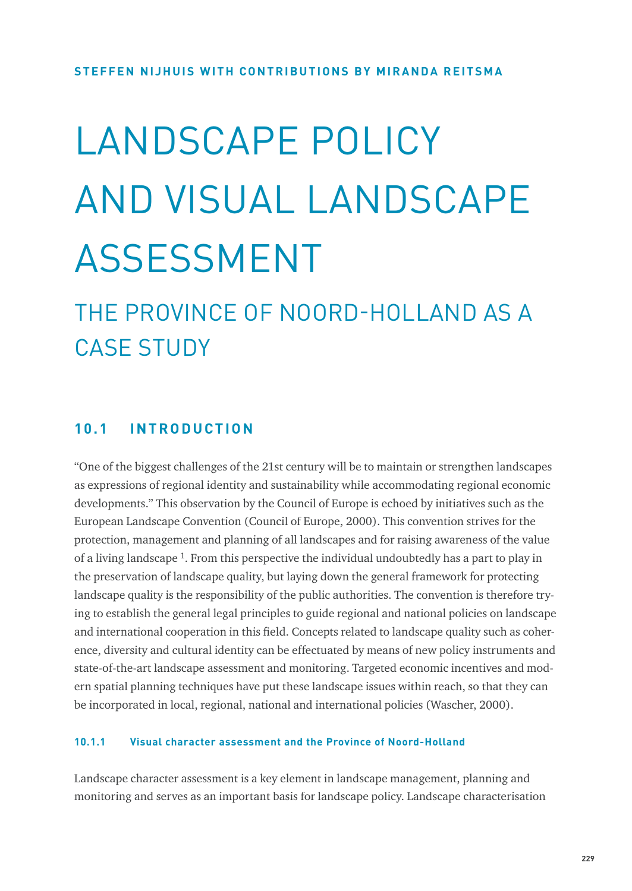# LANDSCAPE POLICY AND VISUAL LANDSCAPE ASSESSMENT

# THE PROVINCE OF NOORD-HOLLAND AS A CASE STUDY

# **10.1 INTRODUCTION**

"One of the biggest challenges of the 21st century will be to maintain or strengthen landscapes as expressions of regional identity and sustainability while accommodating regional economic developments." This observation by the Council of Europe is echoed by initiatives such as the European Landscape Convention (Council of Europe, 2000). This convention strives for the protection, management and planning of all landscapes and for raising awareness of the value of a living landscape 1. From this perspective the individual undoubtedly has a part to play in the preservation of landscape quality, but laying down the general framework for protecting landscape quality is the responsibility of the public authorities. The convention is therefore trying to establish the general legal principles to guide regional and national policies on landscape and international cooperation in this field. Concepts related to landscape quality such as coherence, diversity and cultural identity can be effectuated by means of new policy instruments and state-of-the-art landscape assessment and monitoring. Targeted economic incentives and modern spatial planning techniques have put these landscape issues within reach, so that they can be incorporated in local, regional, national and international policies (Wascher, 2000).

### **10.1.1 Visual character assessment and the Province of Noord-Holland**

Landscape character assessment is a key element in landscape management, planning and monitoring and serves as an important basis for landscape policy. Landscape characterisation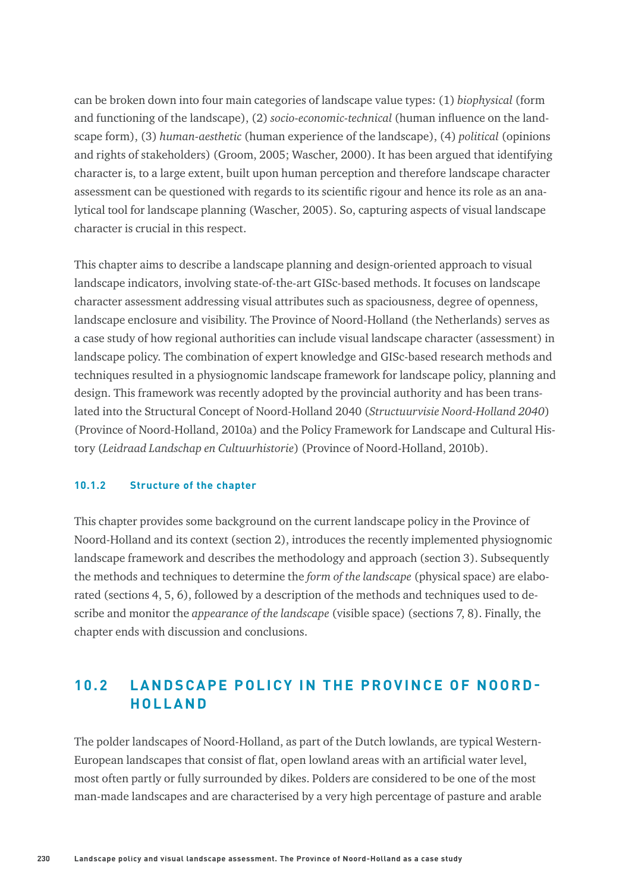can be broken down into four main categories of landscape value types: (1) *biophysical* (form and functioning of the landscape), (2) *socio-economic-technical* (human influence on the landscape form), (3) *human-aesthetic* (human experience of the landscape), (4) *political* (opinions and rights of stakeholders) (Groom, 2005; Wascher, 2000). It has been argued that identifying character is, to a large extent, built upon human perception and therefore landscape character assessment can be questioned with regards to its scientific rigour and hence its role as an analytical tool for landscape planning (Wascher, 2005). So, capturing aspects of visual landscape character is crucial in this respect.

This chapter aims to describe a landscape planning and design-oriented approach to visual landscape indicators, involving state-of-the-art GISc-based methods. It focuses on landscape character assessment addressing visual attributes such as spaciousness, degree of openness, landscape enclosure and visibility. The Province of Noord-Holland (the Netherlands) serves as a case study of how regional authorities can include visual landscape character (assessment) in landscape policy. The combination of expert knowledge and GISc-based research methods and techniques resulted in a physiognomic landscape framework for landscape policy, planning and design. This framework was recently adopted by the provincial authority and has been translated into the Structural Concept of Noord-Holland 2040 (*Structuurvisie Noord-Holland 2040*) (Province of Noord-Holland, 2010a) and the Policy Framework for Landscape and Cultural History (*Leidraad Landschap en Cultuurhistorie*) (Province of Noord-Holland, 2010b).

#### **10.1.2 Structure of the chapter**

This chapter provides some background on the current landscape policy in the Province of Noord-Holland and its context (section 2), introduces the recently implemented physiognomic landscape framework and describes the methodology and approach (section 3). Subsequently the methods and techniques to determine the *form of the landscape* (physical space) are elaborated (sections 4, 5, 6), followed by a description of the methods and techniques used to describe and monitor the *appearance of the landscape* (visible space) (sections 7, 8). Finally, the chapter ends with discussion and conclusions.

# **10.2 LANDSCAPE POLICY IN THE PROVINCE OF NOORD-HOLLAND**

The polder landscapes of Noord-Holland, as part of the Dutch lowlands, are typical Western-European landscapes that consist of flat, open lowland areas with an artificial water level, most often partly or fully surrounded by dikes. Polders are considered to be one of the most man-made landscapes and are characterised by a very high percentage of pasture and arable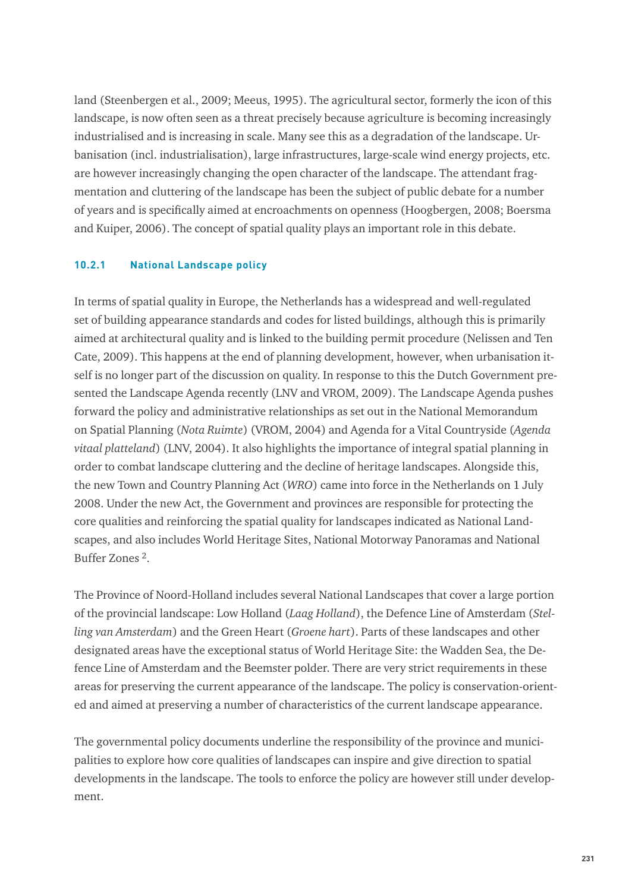land (Steenbergen et al., 2009; Meeus, 1995). The agricultural sector, formerly the icon of this landscape, is now often seen as a threat precisely because agriculture is becoming increasingly industrialised and is increasing in scale. Many see this as a degradation of the landscape. Urbanisation (incl. industrialisation), large infrastructures, large-scale wind energy projects, etc. are however increasingly changing the open character of the landscape. The attendant fragmentation and cluttering of the landscape has been the subject of public debate for a number of years and is specifically aimed at encroachments on openness (Hoogbergen, 2008; Boersma and Kuiper, 2006). The concept of spatial quality plays an important role in this debate.

#### **10.2.1 National Landscape policy**

In terms of spatial quality in Europe, the Netherlands has a widespread and well-regulated set of building appearance standards and codes for listed buildings, although this is primarily aimed at architectural quality and is linked to the building permit procedure (Nelissen and Ten Cate, 2009). This happens at the end of planning development, however, when urbanisation itself is no longer part of the discussion on quality. In response to this the Dutch Government presented the Landscape Agenda recently (LNV and VROM, 2009). The Landscape Agenda pushes forward the policy and administrative relationships as set out in the National Memorandum on Spatial Planning (*Nota Ruimte*) (VROM, 2004) and Agenda for a Vital Countryside (*Agenda vitaal platteland*) (LNV, 2004). It also highlights the importance of integral spatial planning in order to combat landscape cluttering and the decline of heritage landscapes. Alongside this, the new Town and Country Planning Act (*WRO*) came into force in the Netherlands on 1 July 2008. Under the new Act, the Government and provinces are responsible for protecting the core qualities and reinforcing the spatial quality for landscapes indicated as National Landscapes, and also includes World Heritage Sites, National Motorway Panoramas and National Buffer Zones 2.

The Province of Noord-Holland includes several National Landscapes that cover a large portion of the provincial landscape: Low Holland (*Laag Holland*), the Defence Line of Amsterdam (*Stelling van Amsterdam*) and the Green Heart (*Groene hart*). Parts of these landscapes and other designated areas have the exceptional status of World Heritage Site: the Wadden Sea, the Defence Line of Amsterdam and the Beemster polder. There are very strict requirements in these areas for preserving the current appearance of the landscape. The policy is conservation-oriented and aimed at preserving a number of characteristics of the current landscape appearance.

The governmental policy documents underline the responsibility of the province and municipalities to explore how core qualities of landscapes can inspire and give direction to spatial developments in the landscape. The tools to enforce the policy are however still under development.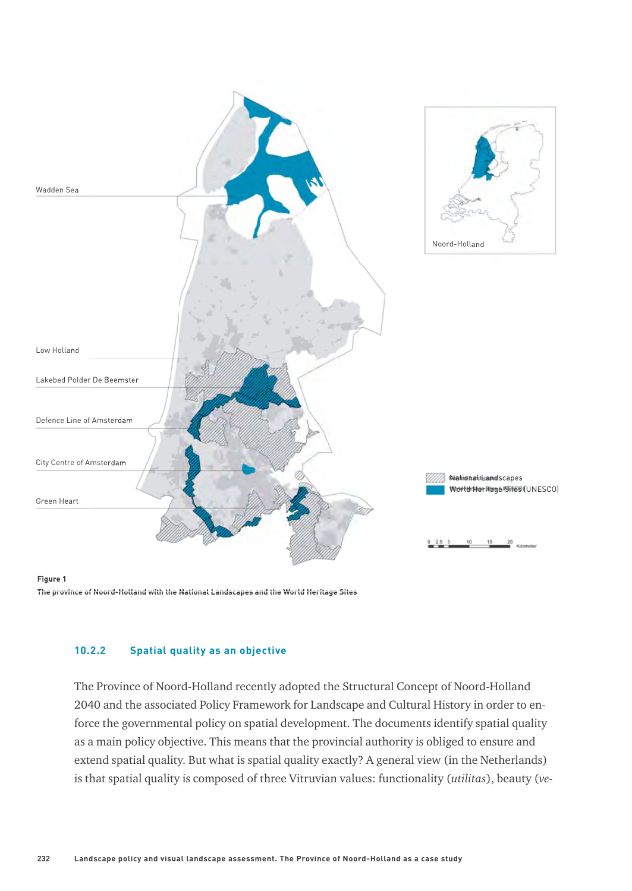

**Figure 1 The province of Noord-Holland with the National Landscapes and the World Heritage Sites**

#### **10.2.2 Spatial quality as an objective**

The Province of Noord-Holland recently adopted the Structural Concept of Noord-Holland 2040 and the associated Policy Framework for Landscape and Cultural History in order to enforce the governmental policy on spatial development. The documents identify spatial quality as a main policy objective. This means that the provincial authority is obliged to ensure and extend spatial quality. But what is spatial quality exactly? A general view (in the Netherlands) is that spatial quality is composed of three Vitruvian values: functionality (*utilitas*), beauty (*ve-*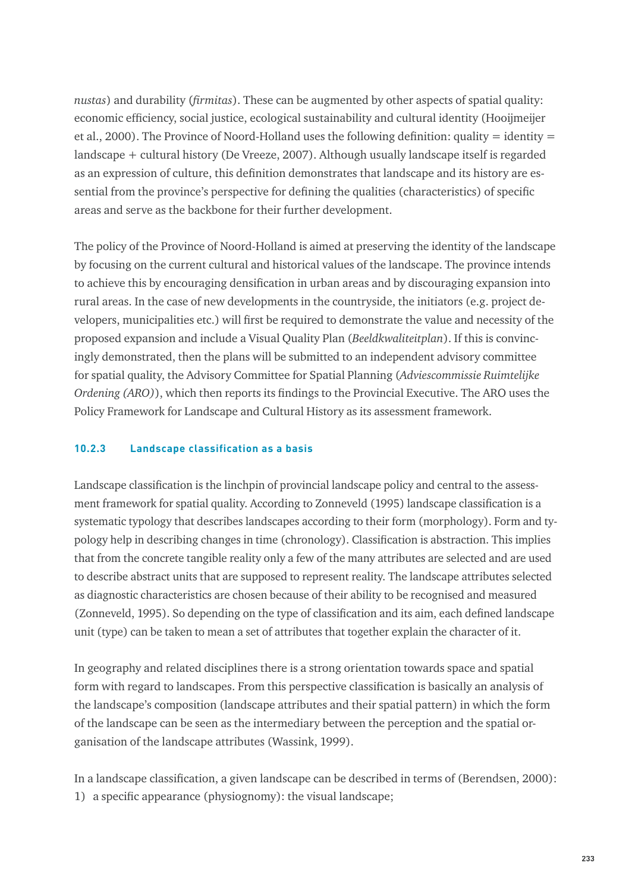*nustas*) and durability (*fi rmitas*). These can be augmented by other aspects of spatial quality: economic efficiency, social justice, ecological sustainability and cultural identity (Hooijmeijer et al., 2000). The Province of Noord-Holland uses the following definition: quality = identity = landscape + cultural history (De Vreeze, 2007). Although usually landscape itself is regarded as an expression of culture, this definition demonstrates that landscape and its history are essential from the province's perspective for defining the qualities (characteristics) of specific areas and serve as the backbone for their further development.

The policy of the Province of Noord-Holland is aimed at preserving the identity of the landscape by focusing on the current cultural and historical values of the landscape. The province intends to achieve this by encouraging densification in urban areas and by discouraging expansion into rural areas. In the case of new developments in the countryside, the initiators (e.g. project developers, municipalities etc.) will first be required to demonstrate the value and necessity of the proposed expansion and include a Visual Quality Plan (*Beeldkwaliteitplan*). If this is convincingly demonstrated, then the plans will be submitted to an independent advisory committee for spatial quality, the Advisory Committee for Spatial Planning (*Adviescommissie Ruimtelijke Ordening (ARO)*), which then reports its findings to the Provincial Executive. The ARO uses the Policy Framework for Landscape and Cultural History as its assessment framework.

#### **10.2.3 Landscape classification as a basis**

Landscape classification is the linchpin of provincial landscape policy and central to the assessment framework for spatial quality. According to Zonneveld (1995) landscape classification is a systematic typology that describes landscapes according to their form (morphology). Form and typology help in describing changes in time (chronology). Classification is abstraction. This implies that from the concrete tangible reality only a few of the many attributes are selected and are used to describe abstract units that are supposed to represent reality. The landscape attributes selected as diagnostic characteristics are chosen because of their ability to be recognised and measured (Zonneveld, 1995). So depending on the type of classification and its aim, each defined landscape unit (type) can be taken to mean a set of attributes that together explain the character of it.

In geography and related disciplines there is a strong orientation towards space and spatial form with regard to landscapes. From this perspective classification is basically an analysis of the landscape's composition (landscape attributes and their spatial pattern) in which the form of the landscape can be seen as the intermediary between the perception and the spatial organisation of the landscape attributes (Wassink, 1999).

In a landscape classification, a given landscape can be described in terms of (Berendsen, 2000): 1) a specific appearance (physiognomy): the visual landscape;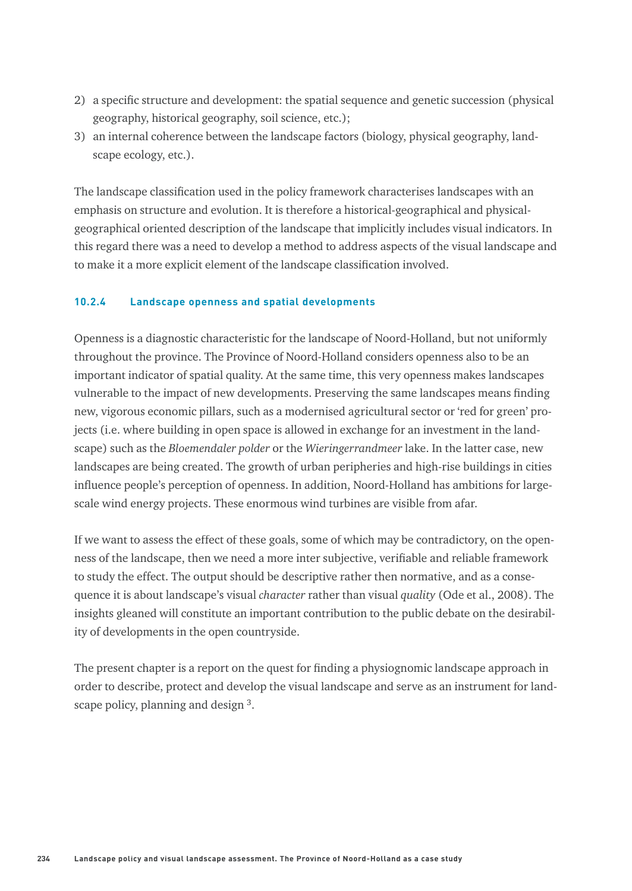- 2) a specific structure and development: the spatial sequence and genetic succession (physical geography, historical geography, soil science, etc.);
- 3) an internal coherence between the landscape factors (biology, physical geography, landscape ecology, etc.).

The landscape classification used in the policy framework characterises landscapes with an emphasis on structure and evolution. It is therefore a historical-geographical and physicalgeographical oriented description of the landscape that implicitly includes visual indicators. In this regard there was a need to develop a method to address aspects of the visual landscape and to make it a more explicit element of the landscape classification involved.

#### **10.2.4 Landscape openness and spatial developments**

Openness is a diagnostic characteristic for the landscape of Noord-Holland, but not uniformly throughout the province. The Province of Noord-Holland considers openness also to be an important indicator of spatial quality. At the same time, this very openness makes landscapes vulnerable to the impact of new developments. Preserving the same landscapes means finding new, vigorous economic pillars, such as a modernised agricultural sector or 'red for green' projects (i.e. where building in open space is allowed in exchange for an investment in the landscape) such as the *Bloemendaler polder* or the *Wieringerrandmeer* lake. In the latter case, new landscapes are being created. The growth of urban peripheries and high-rise buildings in cities influence people's perception of openness. In addition, Noord-Holland has ambitions for largescale wind energy projects. These enormous wind turbines are visible from afar.

If we want to assess the effect of these goals, some of which may be contradictory, on the openness of the landscape, then we need a more inter subjective, verifiable and reliable framework to study the effect. The output should be descriptive rather then normative, and as a consequence it is about landscape's visual *character* rather than visual *quality* (Ode et al., 2008). The insights gleaned will constitute an important contribution to the public debate on the desirability of developments in the open countryside.

The present chapter is a report on the quest for finding a physiognomic landscape approach in order to describe, protect and develop the visual landscape and serve as an instrument for landscape policy, planning and design 3.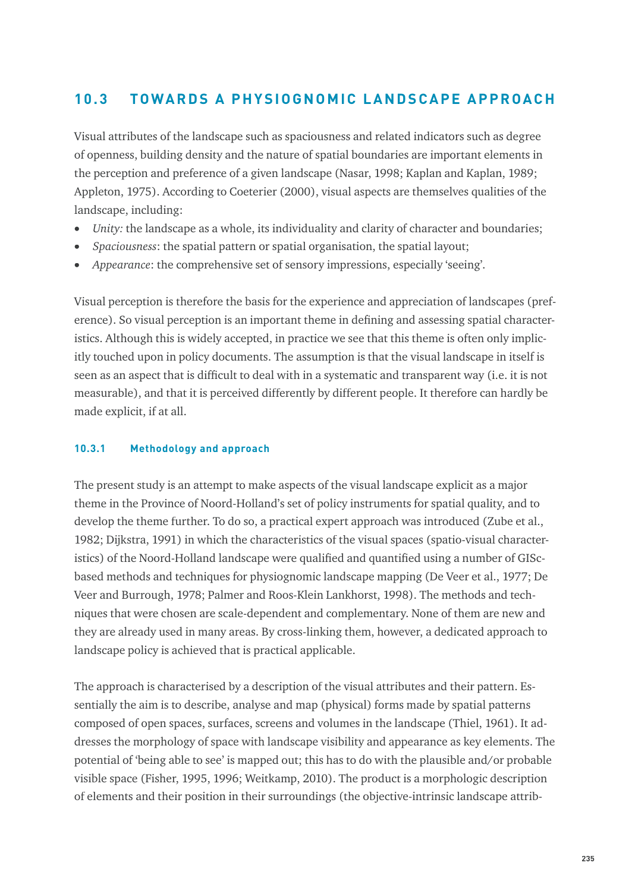# **10.3 TOWARDS A PHYSIOGNOMIC LANDSCAPE APPROACH**

Visual attributes of the landscape such as spaciousness and related indicators such as degree of openness, building density and the nature of spatial boundaries are important elements in the perception and preference of a given landscape (Nasar, 1998; Kaplan and Kaplan, 1989; Appleton, 1975). According to Coeterier (2000), visual aspects are themselves qualities of the landscape, including:

- *Unity:* the landscape as a whole, its individuality and clarity of character and boundaries;
- *Spaciousness*: the spatial pattern or spatial organisation, the spatial layout;
- *Appearance*: the comprehensive set of sensory impressions, especially 'seeing'.

Visual perception is therefore the basis for the experience and appreciation of landscapes (preference). So visual perception is an important theme in defining and assessing spatial characteristics. Although this is widely accepted, in practice we see that this theme is often only implicitly touched upon in policy documents. The assumption is that the visual landscape in itself is seen as an aspect that is difficult to deal with in a systematic and transparent way (i.e. it is not measurable), and that it is perceived differently by different people. It therefore can hardly be made explicit, if at all.

#### **10.3.1 Methodology and approach**

The present study is an attempt to make aspects of the visual landscape explicit as a major theme in the Province of Noord-Holland's set of policy instruments for spatial quality, and to develop the theme further. To do so, a practical expert approach was introduced (Zube et al., 1982; Dijkstra, 1991) in which the characteristics of the visual spaces (spatio-visual characteristics) of the Noord-Holland landscape were qualified and quantified using a number of GIScbased methods and techniques for physiognomic landscape mapping (De Veer et al., 1977; De Veer and Burrough, 1978; Palmer and Roos-Klein Lankhorst, 1998). The methods and techniques that were chosen are scale-dependent and complementary. None of them are new and they are already used in many areas. By cross-linking them, however, a dedicated approach to landscape policy is achieved that is practical applicable.

The approach is characterised by a description of the visual attributes and their pattern. Essentially the aim is to describe, analyse and map (physical) forms made by spatial patterns composed of open spaces, surfaces, screens and volumes in the landscape (Thiel, 1961). It addresses the morphology of space with landscape visibility and appearance as key elements. The potential of 'being able to see' is mapped out; this has to do with the plausible and/or probable visible space (Fisher, 1995, 1996; Weitkamp, 2010). The product is a morphologic description of elements and their position in their surroundings (the objective-intrinsic landscape attrib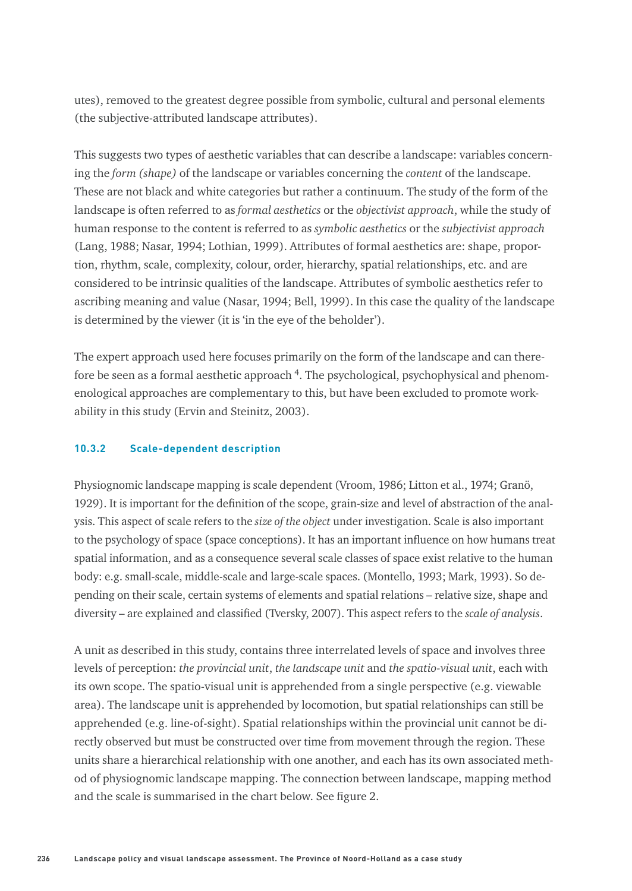utes), removed to the greatest degree possible from symbolic, cultural and personal elements (the subjective-attributed landscape attributes).

This suggests two types of aesthetic variables that can describe a landscape: variables concerning the *form (shape)* of the landscape or variables concerning the *content* of the landscape. These are not black and white categories but rather a continuum. The study of the form of the landscape is often referred to as *formal aesthetics* or the *objectivist approach*, while the study of human response to the content is referred to as *symbolic aesthetics* or the *subjectivist approach* ( Lang, 1988; Nasar, 1994; Lothian, 1999). Attributes of formal aesthetics are: shape, proportion, rhythm, scale, complexity, colour, order, hierarchy, spatial relationships, etc. and are considered to be intrinsic qualities of the landscape. Attributes of symbolic aesthetics refer to ascribing meaning and value (Nasar, 1994; Bell, 1999). In this case the quality of the landscape is determined by the viewer (it is 'in the eye of the beholder').

The expert approach used here focuses primarily on the form of the landscape and can therefore be seen as a formal aesthetic approach 4. The psychological, psychophysical and phenomenological approaches are complementary to this, but have been excluded to promote workability in this study (Ervin and Steinitz, 2003).

#### **10.3.2 Scale-dependent description**

Physiognomic landscape mapping is scale dependent (Vroom, 1986; Litton et al., 1974; Granö, 1929). It is important for the definition of the scope, grain-size and level of abstraction of the analysis. This aspect of scale refers to the *size of the object* under investigation. Scale is also important to the psychology of space (space conceptions). It has an important influence on how humans treat spatial information, and as a consequence several scale classes of space exist relative to the human body: e.g. small-scale, middle-scale and large-scale spaces. (Montello, 1993; Mark, 1993). So depending on their scale, certain systems of elements and spatial relations – relative size, shape and diversity – are explained and classified (Tversky, 2007). This aspect refers to the *scale of analysis*.

A unit as described in this study, contains three interrelated levels of space and involves three levels of perception: *the provincial unit*, *the landscape unit* and *the spatio-visual unit*, each with its own scope. The spatio-visual unit is apprehended from a single perspective (e.g. viewable area). The landscape unit is apprehended by locomotion, but spatial relationships can still be apprehended (e.g. line-of-sight). Spatial relationships within the provincial unit cannot be directly observed but must be constructed over time from movement through the region. These units share a hierarchical relationship with one another, and each has its own associated method of physiognomic landscape mapping. The connection between landscape, mapping method and the scale is summarised in the chart below. See figure 2.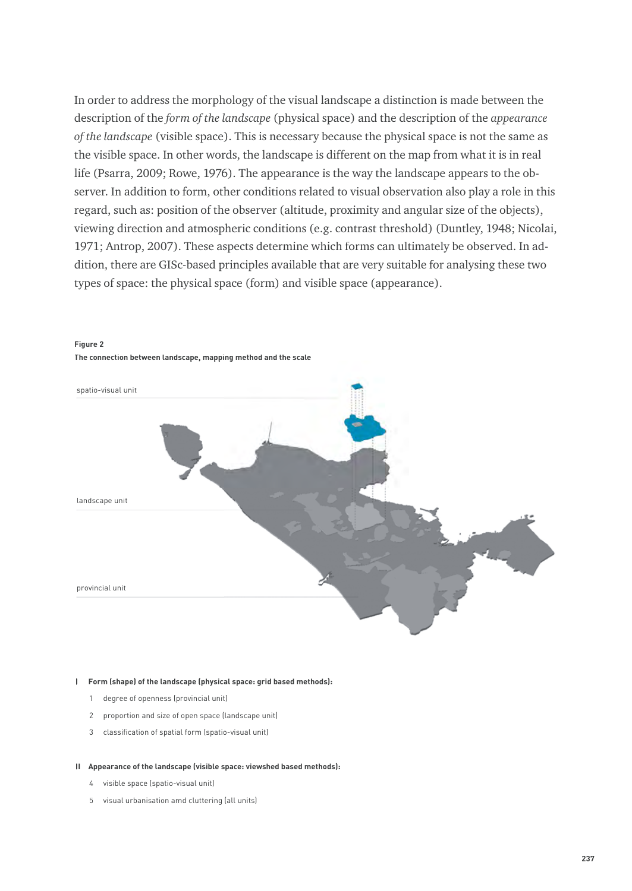In order to address the morphology of the visual landscape a distinction is made between the description of the *form of the landscape* (physical space) and the description of the *appearance of the landscape* (visible space). This is necessary because the physical space is not the same as the visible space. In other words, the landscape is different on the map from what it is in real life (Psarra, 2009; Rowe, 1976). The appearance is the way the landscape appears to the observer. In addition to form, other conditions related to visual observation also play a role in this regard, such as: position of the observer (altitude, proximity and angular size of the objects), viewing direction and atmospheric conditions (e.g. contrast threshold) (Duntley, 1948; Nicolai, 1971; Antrop, 2007). These aspects determine which forms can ultimately be observed. In addition, there are GISc-based principles available that are very suitable for analysing these two types of space: the physical space (form) and visible space (appearance).

# **The connection between landscape, mapping method and the scale**

**Figure 2**



#### **I Form (shape) of the landscape (physical space: grid based methods):**

- 1 degree of openness (provincial unit)
- 2 proportion and size of open space (landscape unit)
- 3 classification of spatial form (spatio-visual unit)

#### **II Appearance of the landscape (visible space: viewshed based methods):**

- 4 visible space (spatio-visual unit)
- 5 visual urbanisation amd cluttering (all units)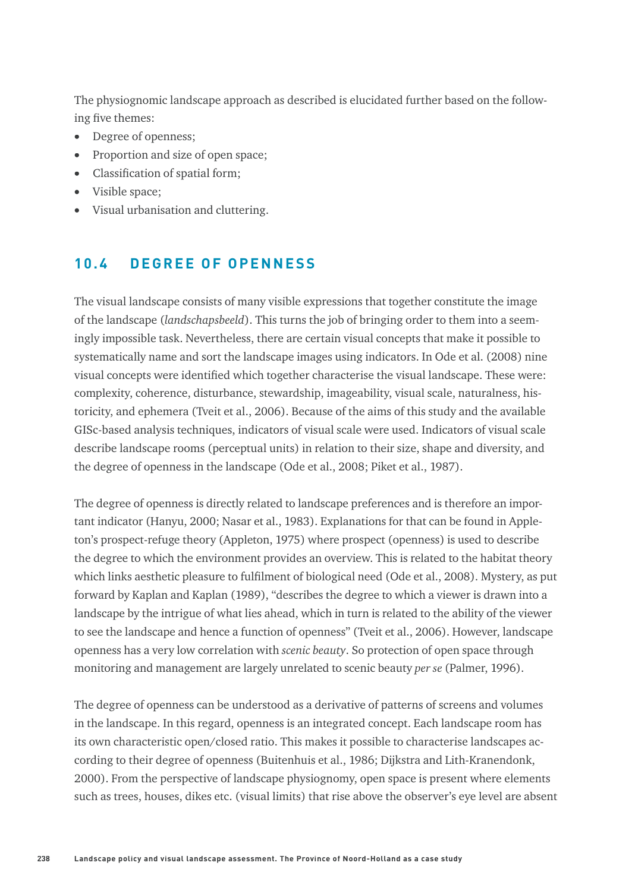The physiognomic landscape approach as described is elucidated further based on the following five themes:

- Degree of openness;
- Proportion and size of open space;
- Classification of spatial form;
- Visible space;
- Visual urbanisation and cluttering.

# **10.4 DEGREE OF OPENNESS**

The visual landscape consists of many visible expressions that together constitute the image of the landscape (*landschapsbeeld*). This turns the job of bringing order to them into a seemingly impossible task. Nevertheless, there are certain visual concepts that make it possible to systematically name and sort the landscape images using indicators. In Ode et al. (2008) nine visual concepts were identified which together characterise the visual landscape. These were: complexity, coherence, disturbance, stewardship, imageability, visual scale, naturalness, historicity, and ephemera (Tveit et al., 2006). Because of the aims of this study and the available GISc-based analysis techniques, indicators of visual scale were used. Indicators of visual scale describe landscape rooms (perceptual units) in relation to their size, shape and diversity, and the degree of openness in the landscape (Ode et al., 2008; Piket et al., 1987).

The degree of openness is directly related to landscape preferences and is therefore an important indicator (Hanyu, 2000; Nasar et al., 1983). Explanations for that can be found in Appleton's prospect-refuge theory (Appleton, 1975) where prospect (openness) is used to describe the degree to which the environment provides an overview. This is related to the habitat theory which links aesthetic pleasure to fulfilment of biological need (Ode et al., 2008). Mystery, as put forward by Kaplan and Kaplan (1989), "describes the degree to which a viewer is drawn into a landscape by the intrigue of what lies ahead, which in turn is related to the ability of the viewer to see the landscape and hence a function of openness" (Tveit et al., 2006). However, landscape openness has a very low correlation with *scenic beauty*. So protection of open space through monitoring and management are largely unrelated to scenic beauty *per se* (Palmer, 1996).

The degree of openness can be understood as a derivative of patterns of screens and volumes in the landscape. In this regard, openness is an integrated concept. Each landscape room has its own characteristic open/closed ratio. This makes it possible to characterise landscapes according to their degree of openness (Buitenhuis et al., 1986; Dijkstra and Lith-Kranendonk, 2000). From the perspective of landscape physiognomy, open space is present where elements such as trees, houses, dikes etc. (visual limits) that rise above the observer's eye level are absent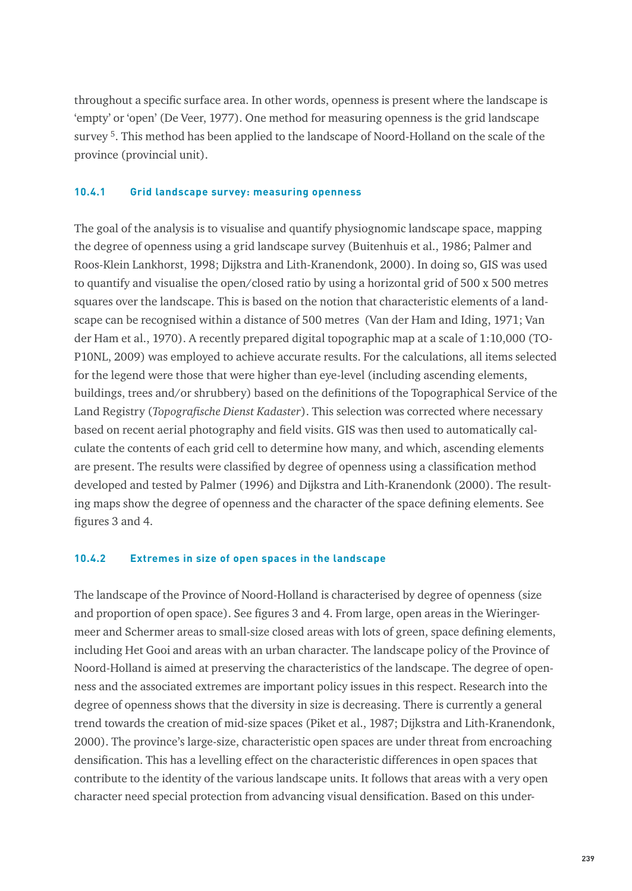throughout a specific surface area. In other words, openness is present where the landscape is 'empty' or 'open' (De Veer, 1977). One method for measuring openness is the grid landscape survey 5. This method has been applied to the landscape of Noord-Holland on the scale of the province (provincial unit).

#### **10.4.1 Grid landscape survey: measuring openness**

The goal of the analysis is to visualise and quantify physiognomic landscape space, mapping the degree of openness using a grid landscape survey (Buitenhuis et al., 1986; Palmer and Roos-Klein Lankhorst, 1998; Dijkstra and Lith-Kranendonk, 2000). In doing so, GIS was used to quantify and visualise the open/closed ratio by using a horizontal grid of 500 x 500 metres squares over the landscape. This is based on the notion that characteristic elements of a landscape can be recognised within a distance of 500 metres (Van der Ham and Iding, 1971; Van der Ham et al., 1970). A recently prepared digital topographic map at a scale of 1:10,000 (TO-P10NL, 2009) was employed to achieve accurate results. For the calculations, all items selected for the legend were those that were higher than eye-level (including ascending elements, buildings, trees and/or shrubbery) based on the definitions of the Topographical Service of the Land Registry (*Topografi sche Dienst Kadaster*). This selection was corrected where necessary based on recent aerial photography and field visits. GIS was then used to automatically calculate the contents of each grid cell to determine how many, and which, ascending elements are present. The results were classified by degree of openness using a classification method developed and tested by Palmer (1996) and Dijkstra and Lith-Kranendonk (2000). The resulting maps show the degree of openness and the character of the space defining elements. See figures 3 and 4.

#### **10.4.2 Extremes in size of open spaces in the landscape**

The landscape of the Province of Noord-Holland is characterised by degree of openness (size and proportion of open space). See figures 3 and 4. From large, open areas in the Wieringermeer and Schermer areas to small-size closed areas with lots of green, space defining elements, including Het Gooi and areas with an urban character. The landscape policy of the Province of Noord-Holland is aimed at preserving the characteristics of the landscape. The degree of openness and the associated extremes are important policy issues in this respect. Research into the degree of openness shows that the diversity in size is decreasing. There is currently a general trend towards the creation of mid-size spaces (Piket et al., 1987; Dijkstra and Lith-Kranendonk, 2000). The province's large-size, characteristic open spaces are under threat from encroaching densification. This has a levelling effect on the characteristic differences in open spaces that contribute to the identity of the various landscape units. It follows that areas with a very open character need special protection from advancing visual densification. Based on this under-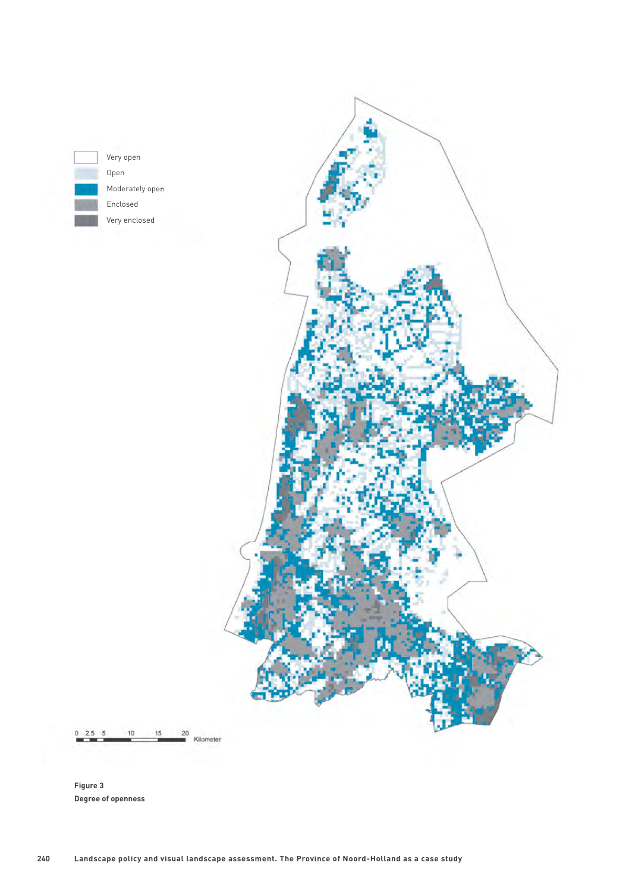



20<br>Kilometer  $10$  $0$  2.5 5  $15$ 

**Figure 3 Degree of openness**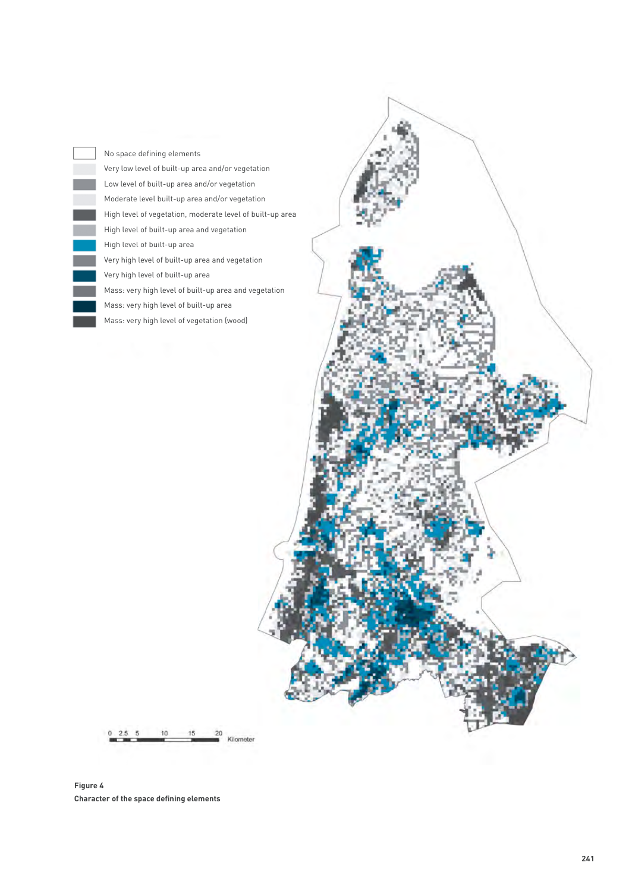No space defining elements Very low level of built-up area and/or vegetation Low level of built-up area and/or vegetation Moderate level built-up area and/or vegetation High level of vegetation, moderate level of built-up area High level of built-up area and vegetation High level of built-up area Very high level of built-up area and vegetation Very high level of built-up area Mass: very high level of built-up area and vegetation Mass: very high level of built-up area Mass: very high level of vegetation (wood)



**Figure 4 Character of the space defining elements** 

10

15

 $20$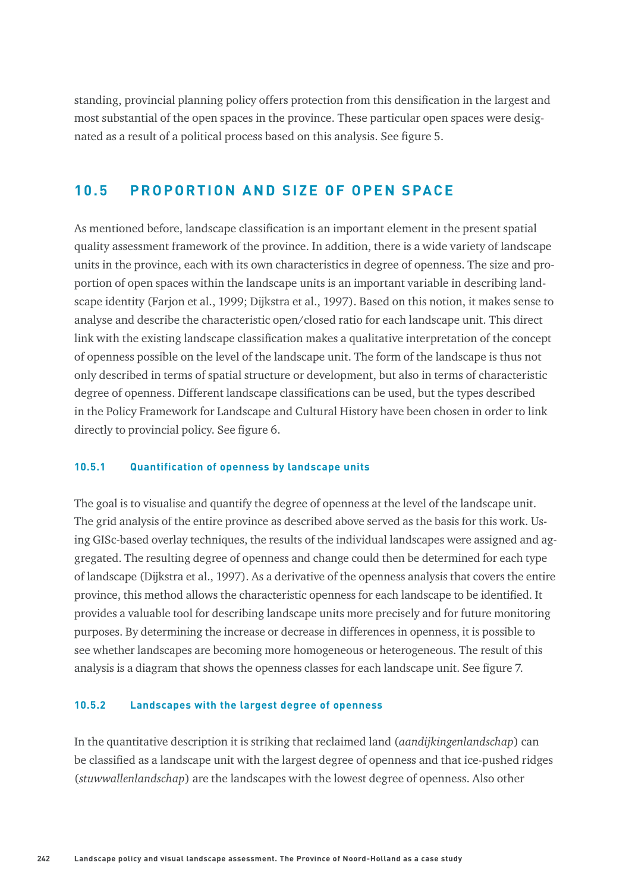standing, provincial planning policy offers protection from this densification in the largest and most substantial of the open spaces in the province. These particular open spaces were designated as a result of a political process based on this analysis. See figure 5.

# 10.5 PROPORTION AND SIZE OF OPEN SPACE

As mentioned before, landscape classification is an important element in the present spatial quality assessment framework of the province. In addition, there is a wide variety of landscape units in the province, each with its own characteristics in degree of openness. The size and proportion of open spaces within the landscape units is an important variable in describing landscape identity (Farjon et al., 1999; Dijkstra et al., 1997). Based on this notion, it makes sense to analyse and describe the characteristic open/closed ratio for each landscape unit. This direct link with the existing landscape classification makes a qualitative interpretation of the concept of openness possible on the level of the landscape unit. The form of the landscape is thus not only described in terms of spatial structure or development, but also in terms of characteristic degree of openness. Different landscape classifications can be used, but the types described in the Policy Framework for Landscape and Cultural History have been chosen in order to link directly to provincial policy. See figure 6.

#### **10.5.1 Quantification of openness by landscape units**

The goal is to visualise and quantify the degree of openness at the level of the landscape unit. The grid analysis of the entire province as described above served as the basis for this work. Using GISc-based overlay techniques, the results of the individual landscapes were assigned and aggregated. The resulting degree of openness and change could then be determined for each type of landscape (Dijkstra et al., 1997). As a derivative of the openness analysis that covers the entire province, this method allows the characteristic openness for each landscape to be identified. It provides a valuable tool for describing landscape units more precisely and for future monitoring purposes. By determining the increase or decrease in differences in openness, it is possible to see whether landscapes are becoming more homogeneous or heterogeneous. The result of this analysis is a diagram that shows the openness classes for each landscape unit. See figure 7.

#### **10.5.2 Landscapes with the largest degree of openness**

In the quantitative description it is striking that reclaimed land (*aandijkingenlandschap*) can be classified as a landscape unit with the largest degree of openness and that ice-pushed ridges (*stuwwallenlandschap*) are the landscapes with the lowest degree of openness. Also other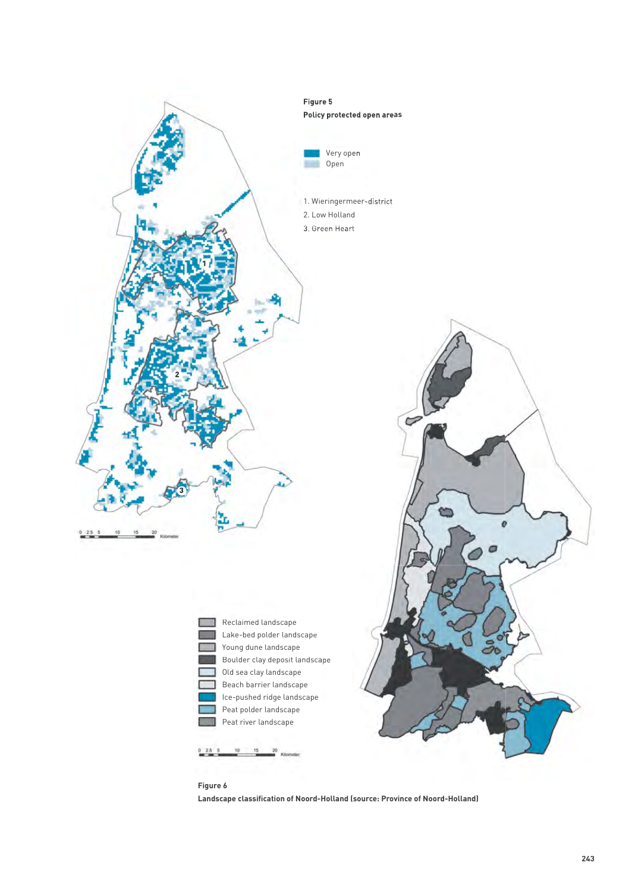

**Figure 6** Landscape classification of Noord-Holland (source: Province of Noord-Holland)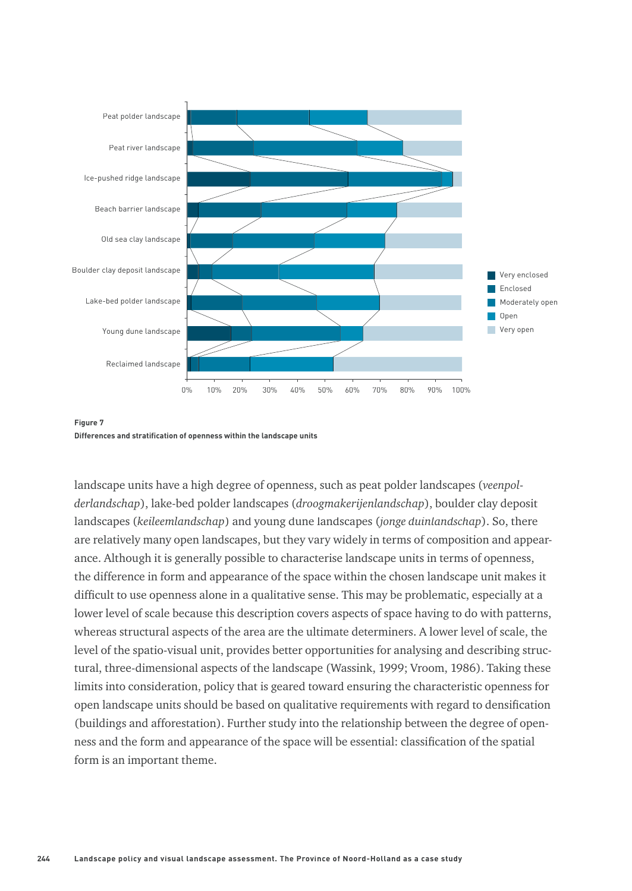

**Figure 7 Differences and stratification of openness within the landscape units** 

landscape units have a high degree of openness, such as peat polder landscapes (*veenpolderlandschap*), lake-bed polder landscapes (*droogmakerijenlandschap*), boulder clay deposit landscapes (*keileemlandschap*) and young dune landscapes (*jonge duinlandschap*). So, there are relatively many open landscapes, but they vary widely in terms of composition and appearance. Although it is generally possible to characterise landscape units in terms of openness, the difference in form and appearance of the space within the chosen landscape unit makes it difficult to use openness alone in a qualitative sense. This may be problematic, especially at a lower level of scale because this description covers aspects of space having to do with patterns, whereas structural aspects of the area are the ultimate determiners. A lower level of scale, the level of the spatio-visual unit, provides better opportunities for analysing and describing structural, three-dimensional aspects of the landscape (Wassink, 1999; Vroom, 1986). Taking these limits into consideration, policy that is geared toward ensuring the characteristic openness for open landscape units should be based on qualitative requirements with regard to densification (buildings and afforestation). Further study into the relationship between the degree of openness and the form and appearance of the space will be essential: classification of the spatial form is an important theme.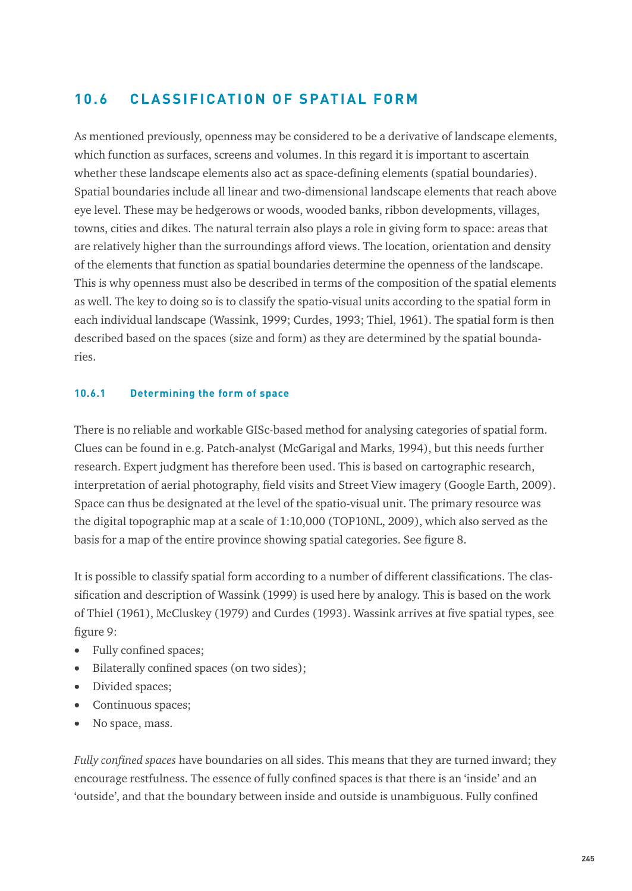# **10.6 CLASSIFICATION OF SPATIAL FORM**

As mentioned previously, openness may be considered to be a derivative of landscape elements, which function as surfaces, screens and volumes. In this regard it is important to ascertain whether these landscape elements also act as space-defining elements (spatial boundaries). Spatial boundaries include all linear and two-dimensional landscape elements that reach above eye level. These may be hedgerows or woods, wooded banks, ribbon developments, villages, towns, cities and dikes. The natural terrain also plays a role in giving form to space: areas that are relatively higher than the surroundings afford views. The location, orientation and density of the elements that function as spatial boundaries determine the openness of the landscape. This is why openness must also be described in terms of the composition of the spatial elements as well. The key to doing so is to classify the spatio-visual units according to the spatial form in each individual landscape (Wassink, 1999; Curdes, 1993; Thiel, 1961). The spatial form is then described based on the spaces (size and form) as they are determined by the spatial boundaries.

#### **10.6.1 Determining the form of space**

There is no reliable and workable GISc-based method for analysing categories of spatial form. Clues can be found in e.g. Patch-analyst (McGarigal and Marks, 1994), but this needs further research. Expert judgment has therefore been used. This is based on cartographic research, interpretation of aerial photography, field visits and Street View imagery (Google Earth, 2009). Space can thus be designated at the level of the spatio-visual unit. The primary resource was the digital topographic map at a scale of 1:10,000 (TOP10NL, 2009), which also served as the basis for a map of the entire province showing spatial categories. See figure 8.

It is possible to classify spatial form according to a number of different classifications. The classification and description of Wassink (1999) is used here by analogy. This is based on the work of Thiel (1961), McCluskey (1979) and Curdes (1993). Wassink arrives at five spatial types, see figure 9:

- Fully confined spaces;
- Bilaterally confined spaces (on two sides);
- Divided spaces;
- Continuous spaces;
- No space, mass.

*Fully confined spaces* have boundaries on all sides. This means that they are turned inward; they encourage restfulness. The essence of fully confined spaces is that there is an 'inside' and an 'outside', and that the boundary between inside and outside is unambiguous. Fully confined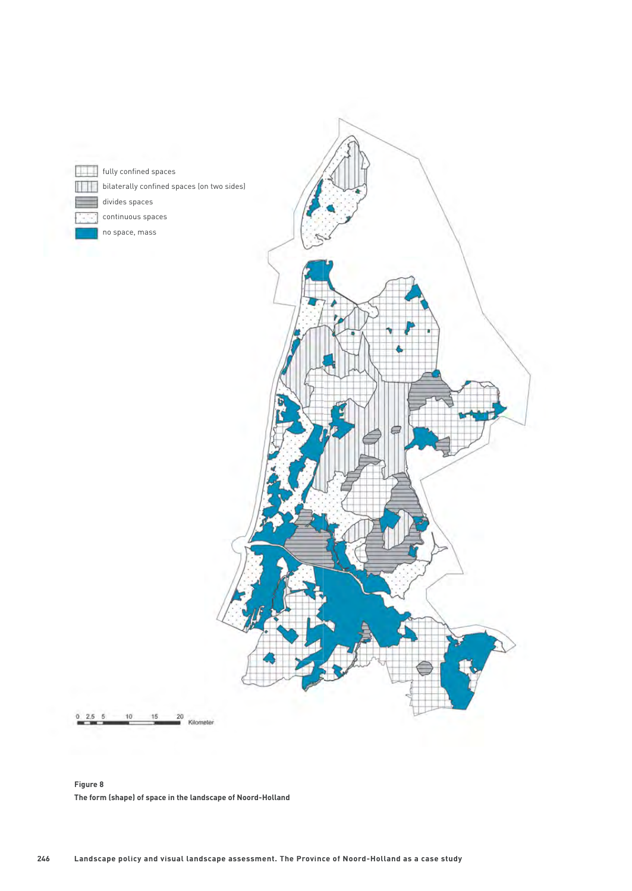

**Figure 8 The form (shape) of space in the landscape of Noord-Holland**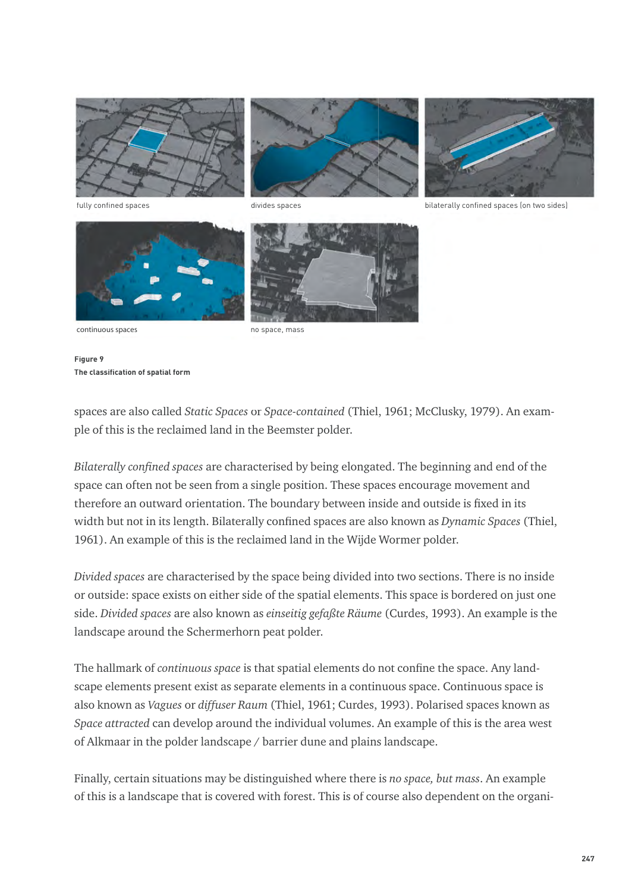





fully confined spaces divides spaces bilaterally confined spaces (on two sides)







continuous spaces no space no space, mass

**Figure 9 The classification of spatial form** 

spaces are also called *Static Spaces* or *Space-contained* (Thiel, 1961; McClusky, 1979). An example of this is the reclaimed land in the Beemster polder.

*Bilaterally confi ned spaces* are characterised by being elongated. The beginning and end of the space can often not be seen from a single position. These spaces encourage movement and therefore an outward orientation. The boundary between inside and outside is fixed in its width but not in its length. Bilaterally confined spaces are also known as *Dynamic Spaces* (Thiel, 1961). An example of this is the reclaimed land in the Wijde Wormer polder.

*Divided spaces* are characterised by the space being divided into two sections. There is no inside or outside: space exists on either side of the spatial elements. This space is bordered on just one side. *Divided spaces* are also known as *einseitig gefaßte Räume* (Curdes, 1993). An example is the landscape around the Schermerhorn peat polder.

The hallmark of *continuous space* is that spatial elements do not confine the space. Any landscape elements present exist as separate elements in a continuous space. Continuous space is also known as *Vagues* or *diffuser Raum* (Thiel, 1961; Curdes, 1993). Polarised spaces known as *Space attracted* can develop around the individual volumes. An example of this is the area west of Alkmaar in the polder landscape / barrier dune and plains landscape.

Finally, certain situations may be distinguished where there is *no space, but mass*. An example of this is a landscape that is covered with forest. This is of course also dependent on the organi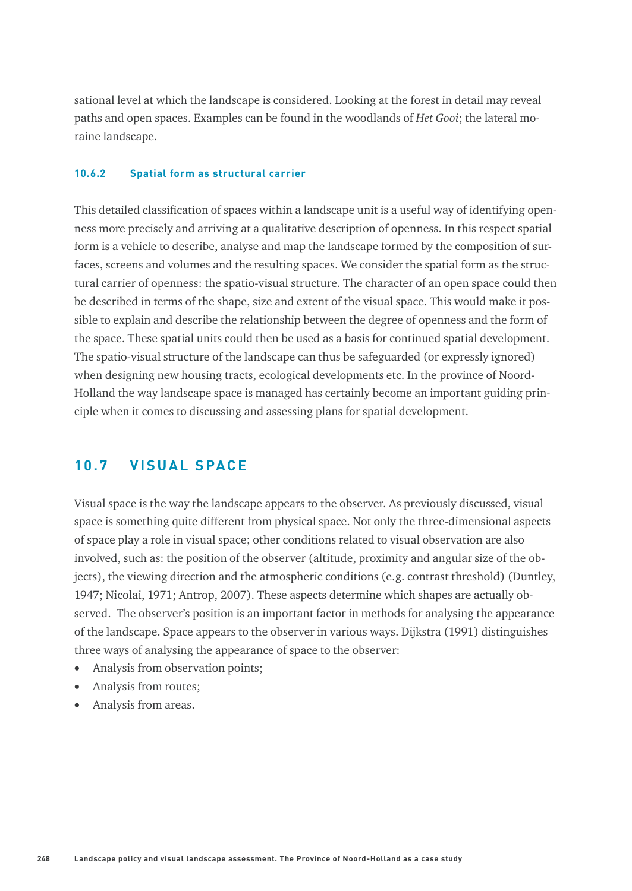sational level at which the landscape is considered. Looking at the forest in detail may reveal paths and open spaces. Examples can be found in the woodlands of *Het Gooi*; the lateral moraine landscape.

#### **10.6.2 Spatial form as structural carrier**

This detailed classification of spaces within a landscape unit is a useful way of identifying openness more precisely and arriving at a qualitative description of openness. In this respect spatial form is a vehicle to describe, analyse and map the landscape formed by the composition of surfaces, screens and volumes and the resulting spaces. We consider the spatial form as the structural carrier of openness: the spatio-visual structure. The character of an open space could then be described in terms of the shape, size and extent of the visual space. This would make it possible to explain and describe the relationship between the degree of openness and the form of the space. These spatial units could then be used as a basis for continued spatial development. The spatio-visual structure of the landscape can thus be safeguarded (or expressly ignored) when designing new housing tracts, ecological developments etc. In the province of Noord-Holland the way landscape space is managed has certainly become an important guiding principle when it comes to discussing and assessing plans for spatial development.

# 10.7 VISUAL SPACE

Visual space is the way the landscape appears to the observer. As previously discussed, visual space is something quite different from physical space. Not only the three-dimensional aspects of space play a role in visual space; other conditions related to visual observation are also involved, such as: the position of the observer (altitude, proximity and angular size of the objects), the viewing direction and the atmospheric conditions (e.g. contrast threshold) (Duntley, 1947; Nicolai, 1971; Antrop, 2007). These aspects determine which shapes are actually observed. The observer's position is an important factor in methods for analysing the appearance of the landscape. Space appears to the observer in various ways. Dijkstra (1991) distinguishes three ways of analysing the appearance of space to the observer:

- Analysis from observation points;
- Analysis from routes;
- Analysis from areas.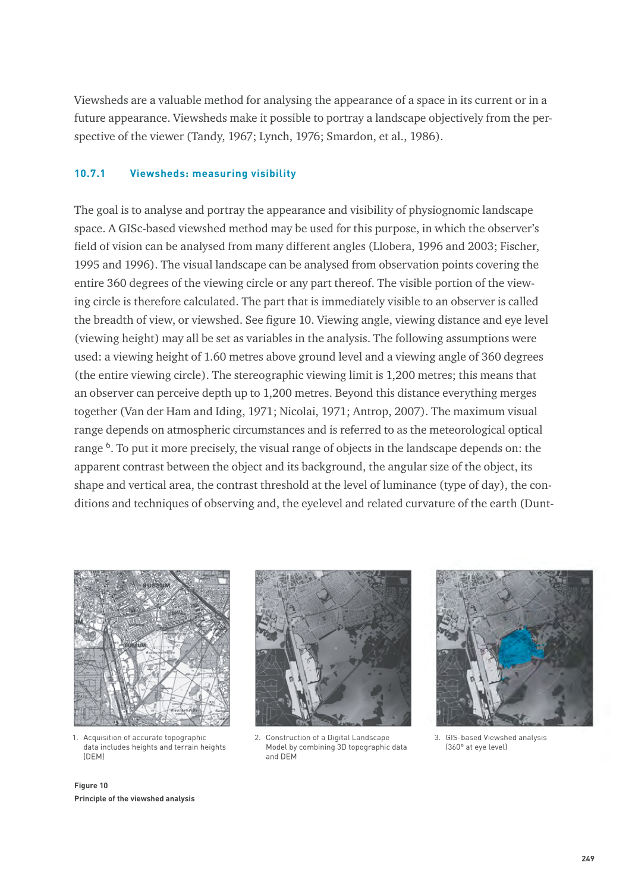Viewsheds are a valuable method for analysing the appearance of a space in its current or in a future appearance. Viewsheds make it possible to portray a landscape objectively from the perspective of the viewer (Tandy, 1967; Lynch, 1976; Smardon, et al., 1986).

#### **10.7.1 Viewsheds: measuring visibility**

The goal is to analyse and portray the appearance and visibility of physiognomic landscape space. A GISc-based viewshed method may be used for this purpose, in which the observer's field of vision can be analysed from many different angles (Llobera, 1996 and 2003; Fischer, 1995 and 1996). The visual landscape can be analysed from observation points covering the entire 360 degrees of the viewing circle or any part thereof. The visible portion of the viewing circle is therefore calculated. The part that is immediately visible to an observer is called the breadth of view, or viewshed. See figure 10. Viewing angle, viewing distance and eye level (viewing height) may all be set as variables in the analysis. The following assumptions were used: a viewing height of 1.60 metres above ground level and a viewing angle of 360 degrees (the entire viewing circle). The stereographic viewing limit is 1,200 metres; this means that an observer can perceive depth up to 1,200 metres. Beyond this distance everything merges together (Van der Ham and Iding, 1971; Nicolai, 1971; Antrop, 2007). The maximum visual range depends on atmospheric circumstances and is referred to as the meteorological optical range 6. To put it more precisely, the visual range of objects in the landscape depends on: the apparent contrast between the object and its background, the angular size of the object, its shape and vertical area, the contrast threshold at the level of luminance (type of day), the conditions and techniques of observing and, the eyelevel and related curvature of the earth (Dunt-



1. Acquisition of accurate topographic data includes heights and terrain heights (DEM)



2. Construction of a Digital Landscape Model by combining 3D topographic data and DEM



3. GIS-based Viewshed analysis (360° at eye level)

**Figure 10 Principle of the viewshed analysis**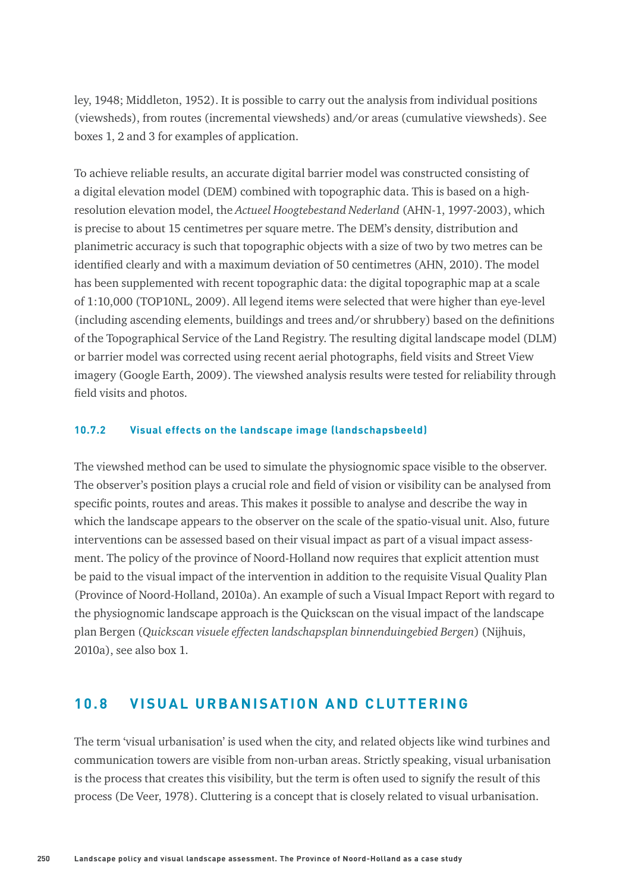ley, 1948; Middleton, 1952). It is possible to carry out the analysis from individual positions (viewsheds), from routes (incremental viewsheds) and/or areas (cumulative viewsheds). See boxes 1, 2 and 3 for examples of application.

To achieve reliable results, an accurate digital barrier model was constructed consisting of a digital elevation model (DEM) combined with topographic data. This is based on a highresolution elevation model, the *Actueel Hoogtebestand Nederland* (AHN-1, 1997-2003), which is precise to about 15 centimetres per square metre. The DEM's density, distribution and planimetric accuracy is such that topographic objects with a size of two by two metres can be identified clearly and with a maximum deviation of 50 centimetres (AHN, 2010). The model has been supplemented with recent topographic data: the digital topographic map at a scale of 1:10,000 (TOP10NL, 2009). All legend items were selected that were higher than eye-level (including ascending elements, buildings and trees and/or shrubbery) based on the definitions of the Topographical Service of the Land Registry. The resulting digital landscape model (DLM) or barrier model was corrected using recent aerial photographs, field visits and Street View imagery (Google Earth, 2009). The viewshed analysis results were tested for reliability through field visits and photos.

#### **10.7.2 Visual effects on the landscape image (landschapsbeeld)**

The viewshed method can be used to simulate the physiognomic space visible to the observer. The observer's position plays a crucial role and field of vision or visibility can be analysed from specific points, routes and areas. This makes it possible to analyse and describe the way in which the landscape appears to the observer on the scale of the spatio-visual unit. Also, future interventions can be assessed based on their visual impact as part of a visual impact assessment. The policy of the province of Noord-Holland now requires that explicit attention must be paid to the visual impact of the intervention in addition to the requisite Visual Quality Plan (Province of Noord-Holland, 2010a). An example of such a Visual Impact Report with regard to the physiognomic landscape approach is the Quickscan on the visual impact of the landscape plan Bergen (*Quickscan visuele effecten landschapsplan binnenduingebied Bergen*) (Nijhuis, 2010a), see also box 1.

#### **10.8 VISUAL URBANISATION AND CLUTTERING**

The term 'visual urbanisation' is used when the city, and related objects like wind turbines and communication towers are visible from non-urban areas. Strictly speaking, visual urbanisation is the process that creates this visibility, but the term is often used to signify the result of this process (De Veer, 1978). Cluttering is a concept that is closely related to visual urbanisation.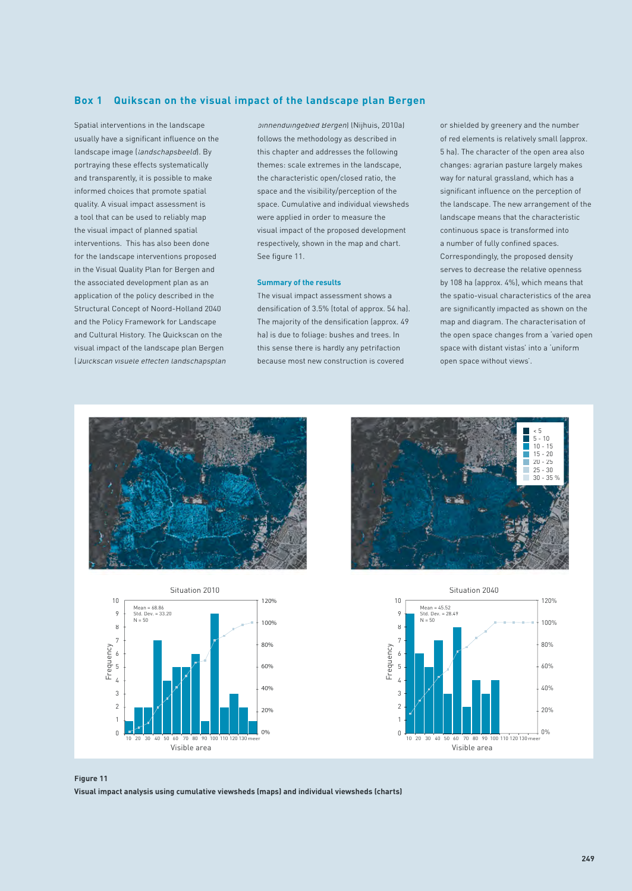#### **Box 1 Quikscan on the visual impact of the landscape plan Bergen**

Spatial interventions in the landscape usually have a significant influence on the landscape image (landschapsbeeld). By portraying these effects systematically and transparently, it is possible to make informed choices that promote spatial quality. A visual impact assessment is a tool that can be used to reliably map the visual impact of planned spatial interventions. This has also been done for the landscape interventions proposed in the Visual Quality Plan for Bergen and the associated development plan as an application of the policy described in the Structural Concept of Noord-Holland 2040 and the Policy Framework for Landscape and Cultural History. The Quickscan on the visual impact of the landscape plan Bergen (Quickscan visuele effecten landschapsplan binnenduingebied Bergen) (Nijhuis, 2010a) follows the methodology as described in this chapter and addresses the following themes: scale extremes in the landscape, the characteristic open/closed ratio, the space and the visibility/perception of the space. Cumulative and individual viewsheds were applied in order to measure the visual impact of the proposed development respectively, shown in the map and chart. See figure 11.

#### **Summary of the results**

The visual impact assessment shows a densification of 3.5% (total of approx. 54 ha). The majority of the densification (approx. 49) ha) is due to foliage: bushes and trees. In this sense there is hardly any petrifaction because most new construction is covered

or shielded by greenery and the number of red elements is relatively small (approx. 5 ha). The character of the open area also changes: agrarian pasture largely makes way for natural grassland, which has a significant influence on the perception of the landscape. The new arrangement of the landscape means that the characteristic continuous space is transformed into a number of fully confined spaces. Correspondingly, the proposed density serves to decrease the relative openness by 108 ha (approx. 4%), which means that the spatio-visual characteristics of the area are significantly impacted as shown on the map and diagram. The characterisation of the open space changes from a 'varied open space with distant vistas' into a 'uniform open space without views'.









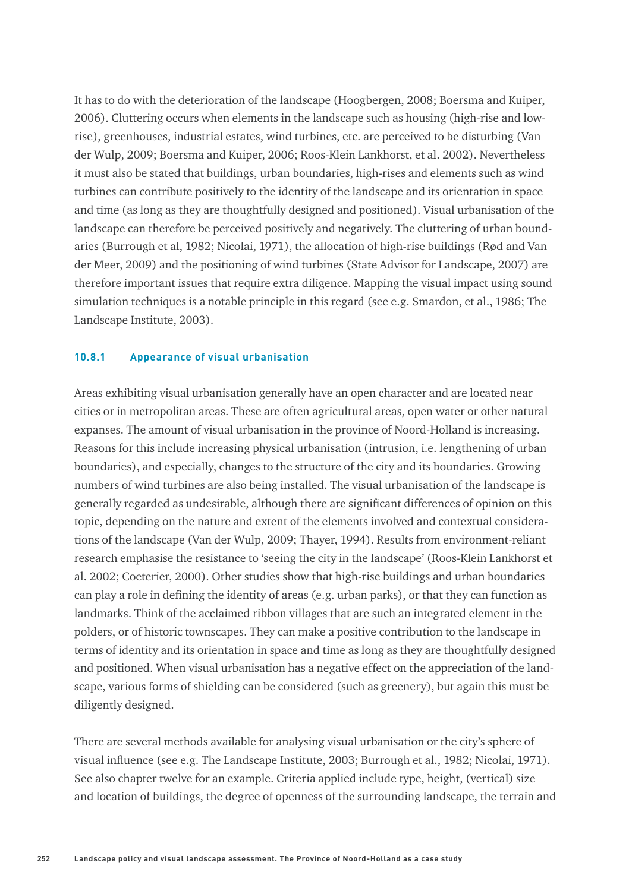It has to do with the deterioration of the landscape (Hoogbergen, 2008; Boersma and Kuiper, 2006). Cluttering occurs when elements in the landscape such as housing (high-rise and lowrise), greenhouses, industrial estates, wind turbines, etc. are perceived to be disturbing (Van der Wulp, 2009; Boersma and Kuiper, 2006; Roos-Klein Lankhorst, et al. 2002). Nevertheless it must also be stated that buildings, urban boundaries, high-rises and elements such as wind turbines can contribute positively to the identity of the landscape and its orientation in space and time (as long as they are thoughtfully designed and positioned). Visual urbanisation of the landscape can therefore be perceived positively and negatively. The cluttering of urban boundaries (Burrough et al, 1982; Nicolai, 1971), the allocation of high-rise buildings ( Rød and Van der Meer, 2009) and the positioning of wind turbines (State Advisor for Landscape, 2007) are therefore important issues that require extra diligence. Mapping the visual impact using sound simulation techniques is a notable principle in this regard (see e.g. Smardon, et al., 1986; The Landscape Institute, 2003).

#### **10.8.1 Appearance of visual urbanisation**

Areas exhibiting visual urbanisation generally have an open character and are located near cities or in metropolitan areas. These are often agricultural areas, open water or other natural expanses. The amount of visual urbanisation in the province of Noord-Holland is increasing. Reasons for this include increasing physical urbanisation (intrusion, i.e. lengthening of urban boundaries), and especially, changes to the structure of the city and its boundaries. Growing numbers of wind turbines are also being installed. The visual urbanisation of the landscape is generally regarded as undesirable, although there are significant differences of opinion on this topic, depending on the nature and extent of the elements involved and contextual considerations of the landscape (Van der Wulp, 2009; Thayer, 1994). Results from environment-reliant research emphasise the resistance to 'seeing the city in the landscape' (Roos-Klein Lankhorst et al. 2002; Coeterier, 2000). Other studies show that high-rise buildings and urban boundaries can play a role in defining the identity of areas (e.g. urban parks), or that they can function as landmarks. Think of the acclaimed ribbon villages that are such an integrated element in the polders, or of historic townscapes. They can make a positive contribution to the landscape in terms of identity and its orientation in space and time as long as they are thoughtfully designed and positioned. When visual urbanisation has a negative effect on the appreciation of the landscape, various forms of shielding can be considered (such as greenery), but again this must be diligently designed.

There are several methods available for analysing visual urbanisation or the city's sphere of visual influence (see e.g. The Landscape Institute, 2003; Burrough et al., 1982; Nicolai, 1971). See also chapter twelve for an example. Criteria applied include type, height, (vertical) size and location of buildings, the degree of openness of the surrounding landscape, the terrain and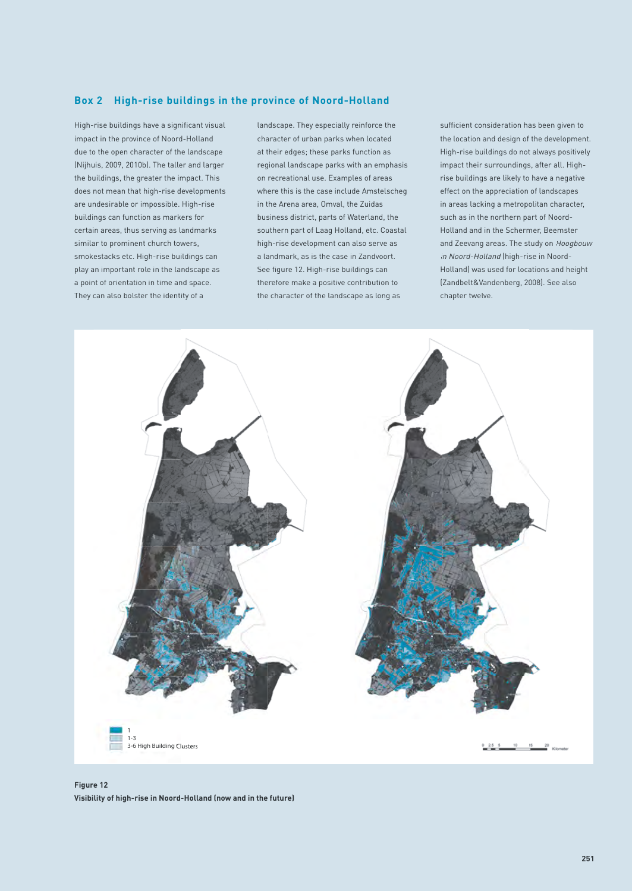#### **Box 2 High-rise buildings in the province of Noord-Holland**

High-rise buildings have a significant visual impact in the province of Noord-Holland due to the open character of the landscape (Nijhuis, 2009, 2010b). The taller and larger the buildings, the greater the impact. This does not mean that high-rise developments are undesirable or impossible. High-rise buildings can function as markers for certain areas, thus serving as landmarks similar to prominent church towers, smokestacks etc. High-rise buildings can play an important role in the landscape as a point of orientation in time and space. They can also bolster the identity of a

landscape. They especially reinforce the character of urban parks when located at their edges; these parks function as regional landscape parks with an emphasis on recreational use. Examples of areas where this is the case include Amstelscheg in the Arena area, Omval, the Zuidas business district, parts of Waterland, the southern part of Laag Holland, etc. Coastal high-rise development can also serve as a landmark, as is the case in Zandvoort. See figure 12. High-rise buildings can therefore make a positive contribution to the character of the landscape as long as

sufficient consideration has been given to the location and design of the development. High-rise buildings do not always positively impact their surroundings, after all. Highrise buildings are likely to have a negative effect on the appreciation of landscapes in areas lacking a metropolitan character, such as in the northern part of Noord-Holland and in the Schermer, Beemster and Zeevang areas. The study on Hoogbouw in Noord-Holland (high-rise in Noord-Holland) was used for locations and height (Zandbelt&Vandenberg, 2008). See also chapter twelve.



**Figure 12 Visibility of high-rise in Noord-Holland (now and in the future)**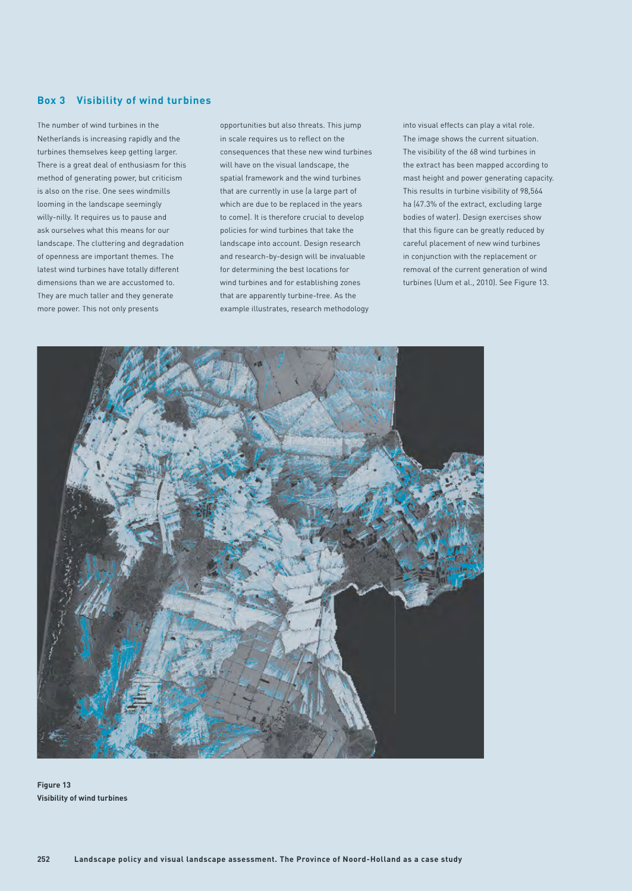#### **Box 3 Visibility of wind turbines**

The number of wind turbines in the Netherlands is increasing rapidly and the turbines themselves keep getting larger. There is a great deal of enthusiasm for this method of generating power, but criticism is also on the rise. One sees windmills looming in the landscape seemingly willy-nilly. It requires us to pause and ask ourselves what this means for our landscape. The cluttering and degradation of openness are important themes. The latest wind turbines have totally different dimensions than we are accustomed to. They are much taller and they generate more power. This not only presents

opportunities but also threats. This jump in scale requires us to reflect on the consequences that these new wind turbines will have on the visual landscape, the spatial framework and the wind turbines that are currently in use (a large part of which are due to be replaced in the years to come). It is therefore crucial to develop policies for wind turbines that take the landscape into account. Design research and research-by-design will be invaluable for determining the best locations for wind turbines and for establishing zones that are apparently turbine-free. As the example illustrates, research methodology

into visual effects can play a vital role. The image shows the current situation. The visibility of the 68 wind turbines in the extract has been mapped according to mast height and power generating capacity. This results in turbine visibility of 98,564 ha (47.3% of the extract, excluding large bodies of water). Design exercises show that this figure can be greatly reduced by careful placement of new wind turbines in conjunction with the replacement or removal of the current generation of wind turbines (Uum et al., 2010). See Figure 13.



**Figure 13 Visibility of wind turbines**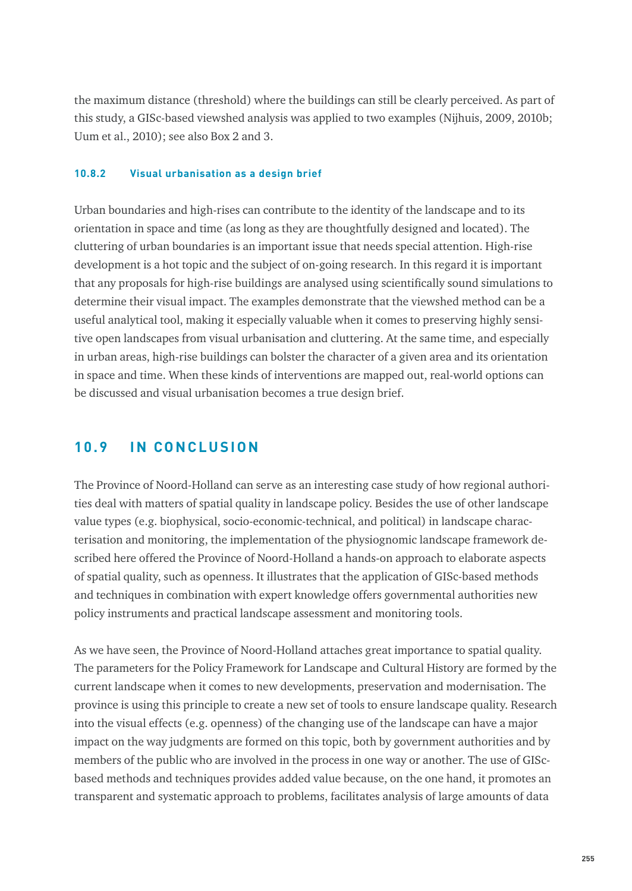the maximum distance (threshold) where the buildings can still be clearly perceived. As part of this study, a GISc-based viewshed analysis was applied to two examples (Nijhuis, 2009, 2010b; Uum et al., 2010); see also Box 2 and 3.

#### **10.8.2 Visual urbanisation as a design brief**

Urban boundaries and high-rises can contribute to the identity of the landscape and to its orientation in space and time (as long as they are thoughtfully designed and located). The cluttering of urban boundaries is an important issue that needs special attention. High-rise development is a hot topic and the subject of on-going research. In this regard it is important that any proposals for high-rise buildings are analysed using scientifically sound simulations to determine their visual impact. The examples demonstrate that the viewshed method can be a useful analytical tool, making it especially valuable when it comes to preserving highly sensitive open landscapes from visual urbanisation and cluttering. At the same time, and especially in urban areas, high-rise buildings can bolster the character of a given area and its orientation in space and time. When these kinds of interventions are mapped out, real-world options can be discussed and visual urbanisation becomes a true design brief.

# **10.9 IN CONCLUSION**

The Province of Noord-Holland can serve as an interesting case study of how regional authorities deal with matters of spatial quality in landscape policy. Besides the use of other landscape value types (e.g. biophysical, socio-economic-technical, and political) in landscape characterisation and monitoring, the implementation of the physiognomic landscape framework described here offered the Province of Noord-Holland a hands-on approach to elaborate aspects of spatial quality, such as openness. It illustrates that the application of GISc-based methods and techniques in combination with expert knowledge offers governmental authorities new policy instruments and practical landscape assessment and monitoring tools.

As we have seen, the Province of Noord-Holland attaches great importance to spatial quality. The parameters for the Policy Framework for Landscape and Cultural History are formed by the current landscape when it comes to new developments, preservation and modernisation. The province is using this principle to create a new set of tools to ensure landscape quality. Research into the visual effects (e.g. openness) of the changing use of the landscape can have a major impact on the way judgments are formed on this topic, both by government authorities and by members of the public who are involved in the process in one way or another. The use of GIScbased methods and techniques provides added value because, on the one hand, it promotes an transparent and systematic approach to problems, facilitates analysis of large amounts of data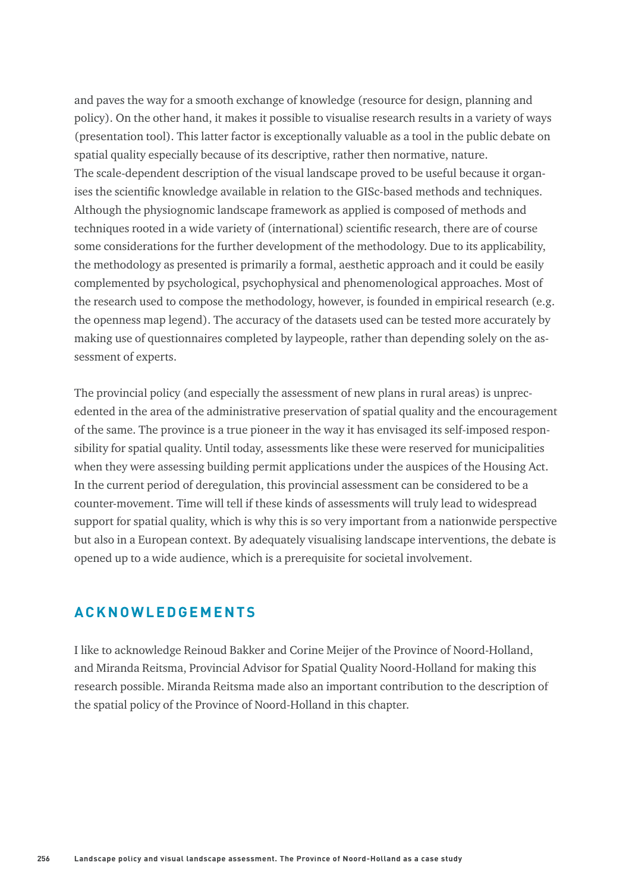and paves the way for a smooth exchange of knowledge (resource for design, planning and policy). On the other hand, it makes it possible to visualise research results in a variety of ways (presentation tool). This latter factor is exceptionally valuable as a tool in the public debate on spatial quality especially because of its descriptive, rather then normative, nature. The scale-dependent description of the visual landscape proved to be useful because it organises the scientific knowledge available in relation to the GISc-based methods and techniques. Although the physiognomic landscape framework as applied is composed of methods and techniques rooted in a wide variety of (international) scientific research, there are of course some considerations for the further development of the methodology. Due to its applicability, the methodology as presented is primarily a formal, aesthetic approach and it could be easily complemented by psychological, psychophysical and phenomenological approaches. Most of the research used to compose the methodology, however, is founded in empirical research (e.g. the openness map legend). The accuracy of the datasets used can be tested more accurately by making use of questionnaires completed by laypeople, rather than depending solely on the assessment of experts.

The provincial policy (and especially the assessment of new plans in rural areas) is unprecedented in the area of the administrative preservation of spatial quality and the encouragement of the same. The province is a true pioneer in the way it has envisaged its self-imposed responsibility for spatial quality. Until today, assessments like these were reserved for municipalities when they were assessing building permit applications under the auspices of the Housing Act. In the current period of deregulation, this provincial assessment can be considered to be a counter-movement. Time will tell if these kinds of assessments will truly lead to widespread support for spatial quality, which is why this is so very important from a nationwide perspective but also in a European context. By adequately visualising landscape interventions, the debate is opened up to a wide audience, which is a prerequisite for societal involvement.

### **ACKNOWLEDGEMENTS**

I like to acknowledge Reinoud Bakker and Corine Meijer of the Province of Noord-Holland, and Miranda Reitsma, Provincial Advisor for Spatial Quality Noord-Holland for making this research possible. Miranda Reitsma made also an important contribution to the description of the spatial policy of the Province of Noord-Holland in this chapter.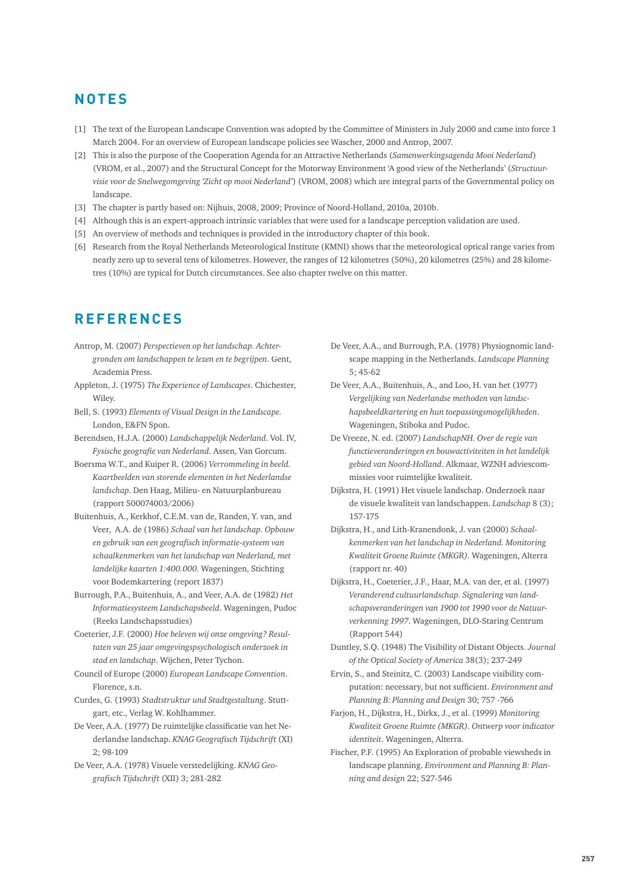# **NOTES**

- [1] The text of the European Landscape Convention was adopted by the Committee of Ministers in July 2000 and came into force 1 March 2004. For an overview of European landscape policies see Wascher, 2000 and Antrop, 2007.
- [2] This is also the purpose of the Cooperation Agenda for an Attractive Netherlands (*Samenwerkingsagenda Mooi Nederland*) (VROM, et al., 2007) and the Structural Concept for the Motorway Environment 'A good view of the Netherlands' (*Structuurvisie voor de Snelwegomgeving 'Zicht op mooi Nederland'*) (VROM, 2008) which are integral parts of the Governmental policy on landscape.
- [3] The chapter is partly based on: Nijhuis, 2008, 2009; Province of Noord-Holland, 2010a, 2010b.
- [4] Although this is an expert-approach intrinsic variables that were used for a landscape perception validation are used.
- [5] An overview of methods and techniques is provided in the introductory chapter of this book.
- [6] Research from the Royal Netherlands Meteorological Institute (KMNI) shows that the meteorological optical range varies from nearly zero up to several tens of kilometres. However, the ranges of 12 kilometres (50%), 20 kilometres (25%) and 28 kilometres (10%) are typical for Dutch circumstances. See also chapter twelve on this matter.

# **REFERENCES**

- Antrop, M. (2007) *Perspectieven op het landschap. Achtergronden om landschappen te lezen en te begrijpen*. Gent, Academia Press.
- Appleton, J. (1975) *The Experience of Landscapes*. Chichester, Wiley.
- Bell, S. (1993) *Elements of Visual Design in the Landscape.* London, E&FN Spon.
- Berendsen, H.J.A. (2000) *Landschappelijk Nederland*. Vol. IV, Fysische geografie van Nederland. Assen, Van Gorcum.
- Boersma W.T., and Kuiper R. (2006) *Verrommeling in beeld. Kaartbeelden van storende elementen in het Nederlandse landschap*. Den Haag, Milieu- en Natuurplanbureau (rapport 500074003/2006)
- Buitenhuis, A., Kerkhof, C.E.M. van de, Randen, Y. van, and Veer, A.A. de (1986) *Schaal van het landschap. Opbouw en gebruik van een geografi sch informatie-systeem van schaalkenmerken van het landschap van Nederland, met landelijke kaarten 1:400.000.* Wageningen, Stichting voor Bodemkartering (report 1837)
- Burrough, P.A., Buitenhuis, A., and Veer, A.A. de (1982) *Het Informatiesysteem Landschapsbeeld*. Wageningen, Pudoc (Reeks Landschapsstudies)
- Coeterier, J.F. (2000) *Hoe beleven wij onze omgeving? Resultaten van 25 jaar omgevingspsychologisch onderzoek in stad en landschap*. Wijchen, Peter Tychon.
- Council of Europe (2000) *European Landscape Convention*. Florence, s.n.
- Curdes, G. (1993) *Stadtstruktur und Stadtgestaltung*. Stuttgart, etc., Verlag W. Kohlhammer.
- De Veer, A.A. (1977) De ruimtelijke classificatie van het Nederlandse landschap. *KNAG Geografisch Tijdschrift* (XI) 2; 98-109
- De Veer, A.A. (1978) Visuele verstedelijking. *KNAG Geografi sch Tijdschrift* (XII) 3; 281-282
- De Veer, A.A., and Burrough, P.A. (1978) Physiognomic landscape mapping in the Netherlands. *Landscape Planning*  $5:45-62$
- De Veer, A.A., Buitenhuis, A., and Loo, H. van het (1977) *Vergelijking van Nederlandse methoden van landschapsbeeldkartering en hun toepassingsmogelijkheden*. Wageningen, Stiboka and Pudoc.
- De Vreeze, N. ed. (2007) *LandschapNH. Over de regie van functieveranderingen en bouwactiviteiten in het landelijk gebied van Noord-Holland*. Alkmaar, WZNH adviescommissies voor ruimtelijke kwaliteit.
- Dijkstra, H. (1991) Het visuele landschap. Onderzoek naar de visuele kwaliteit van landschappen. *Landschap* 8 (3); 157-175
- Dijkstra, H., and Lith-Kranendonk, J. van (2000) *Schaalkenmerken van het landschap in Nederland. Monitoring Kwaliteit Groene Ruimte (MKGR).* Wageningen, Alterra (rapport nr. 40)
- Dijkstra, H., Coeterier, J.F., Haar, M.A. van der, et al. (1997) *Veranderend cultuurlandschap. Signalering van landschapsveranderingen van 1900 tot 1990 voor de Natuurverkenning 1997*. Wageningen, DLO-Staring Centrum (Rapport 544)
- Duntley, S.Q. (1948) The Visibility of Distant Objects. *Journal of the Optical Society of America* 38(3); 237-249
- Ervin, S., and Steinitz, C. (2003) Landscape visibility computation: necessary, but not sufficient. *Environment and Planning B: Planning and Design* 30; 757 -766
- Farjon, H., Dijkstra, H., Dirkx, J., et al. (1999) *Monitoring Kwaliteit Groene Ruimte (MKGR). Ontwerp voor indicator identiteit*. Wageningen, Alterra.
- Fischer, P.F. (1995) An Exploration of probable viewsheds in landscape planning. *Environment and Planning B: Planning and design* 22; 527-546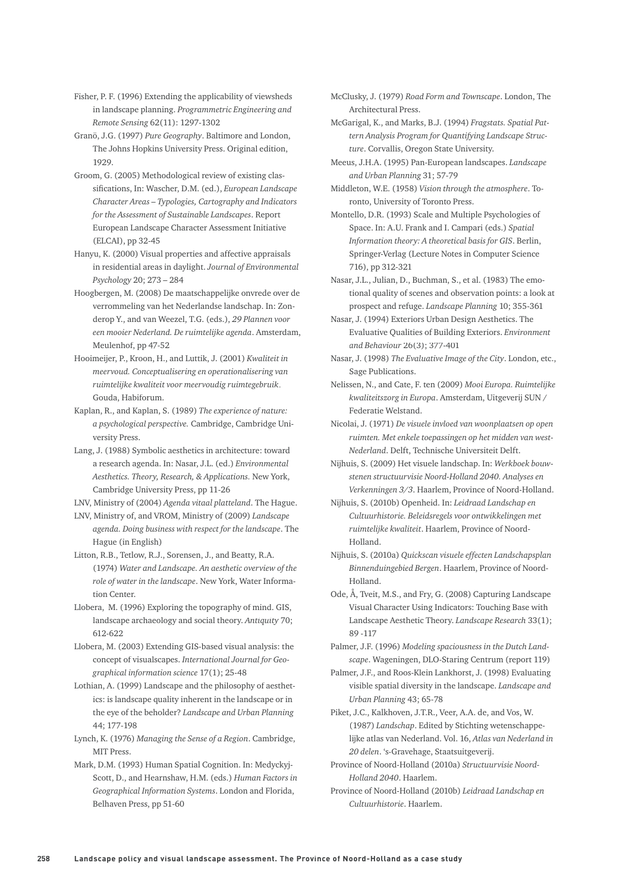Fisher, P. F. (1996) Extending the applicability of viewsheds in landscape planning. *Programmetric Engineering and Remote Sensing* 62(11): 1297-1302

Granö, J.G. (1997) *Pure Geography*. Baltimore and London, The Johns Hopkins University Press. Original edition, 1929.

Groom, G. (2005) Methodological review of existing classifi cations, In: Wascher, D.M. (ed.), *European Landscape Character Areas – Typologies, Cartography and Indicators for the Assessment of Sustainable Landscapes*. Report European Landscape Character Assessment Initiative (ELCAI), pp 32-45

Hanyu, K. (2000) Visual properties and affective appraisals in residential areas in daylight. *Journal of Environmental Psychology* 20; 273 – 284

Hoogbergen, M. (2008) De maatschappelijke onvrede over de verrommeling van het Nederlandse landschap. In: Zonderop Y., and van Weezel, T.G. (eds.), *29 Plannen voor een mooier Nederland. De ruimtelijke agenda*. Amsterdam, Meulenhof, pp 47-52

Hooimeijer, P., Kroon, H., and Luttik, J. (2001) *Kwaliteit in meervoud. Conceptualisering en operationalisering van ruimtelijke kwaliteit voor meervoudig ruimtegebruik*. Gouda, Habiforum.

K aplan, R., and Kaplan, S. (1989) *The experience of nature: a psychological perspective.* Cambridge, Cambridge University Press.

Lang, J. (1988) Symbolic aesthetics in architecture: toward a research agenda. In: Nasar, J.L. (ed.) *Environmental Aesthetics. Theory, Research, & Applications.* New York, Cambridge University Press, pp 11-26

LNV, Ministry of (2004) *Agenda vitaal platteland*. The Hague.

LNV, Ministry of, and VROM, Ministry of (2009) *Landscape agenda. Doing business with respect for the landscape*. The Hague (in English)

Litton, R.B., Tetlow, R.J., Sorensen, J., and Beatty, R.A. (1974) *Water and Landscape. An aesthetic overview of the role of water in the landscape*. New York, Water Information Center.

Llobera, M. (1996) Exploring the topography of mind. GIS, landscape archaeology and social theory. *Antiquity* 70; 612-622

Llobera, M. (2003) Extending GIS-based visual analysis: the concept of visualscapes. *International Journal for Geographical information science* 17(1); 25-48

Lothian, A. (1999) Landscape and the philosophy of aesthetics: is landscape quality inherent in the landscape or in the eye of the beholder? *Landscape and Urban Planning*  44; 177-198

Lynch, K. (1976) *Managing the Sense of a Region*. Cambridge, MIT Press.

Mark, D.M. (1993) Human Spatial Cognition. In: Medyckyj-Scott, D., and Hearnshaw, H.M. (eds.) *Human Factors in Geographical Information Systems*. London and Florida, Belhaven Press, pp 51-60

McClusky, J. (1979) *Road Form and Townscape*. London, The Architectural Press.

McGarigal, K., and Marks, B.J. (1994) *Fragstats. Spatial Pattern Analysis Program for Quantifying Landscape Structure*. Corvallis, Oregon State University.

Meeus, J.H.A. (1995) Pan-European landscapes. *Landscape and Urban Planning* 31; 57-79

Middleton, W.E. (1958) *Vision through the atmosphere*. Toronto, University of Toronto Press.

Montello, D.R. (1993) Scale and Multiple Psychologies of Space. In: A.U. Frank and I. Campari (eds.) *Spatial Information theory: A theoretical basis for GIS*. Berlin, Springer-Verlag (Lecture Notes in Computer Science 716), pp 312-321

Nasar, J.L., Julian, D., Buchman, S., et al. (1983) The emotional quality of scenes and observation points: a look at prospect and refuge. *Landscape Planning* 10; 355-361

Nasar, J. (1994) Exteriors Urban Design Aesthetics. The Evaluative Qualities of Building Exteriors. *Environment and Behaviour* 26(3); 377-401

Nasar, J. (1998) *The Evaluative Image of the City*. London, etc., Sage Publications.

Nelissen, N., and Cate, F. ten (2009) *Mooi Europa. Ruimtelijke kwaliteitszorg in Europa*. Amsterdam, Uitgeverij SUN / Federatie Welstand.

Nicolai, J. (1971) *De visuele invloed van woonplaatsen op open ruimten. Met enkele toepassingen op het midden van west-Nederland*. Delft, Technische Universiteit Delft.

Nijhuis, S. (2009) Het visuele landschap. In: *Werkboek bouwstenen structuurvisie Noord-Holland 2040. Analyses en Verkenningen 3/3*. Haarlem, Province of Noord-Holland.

Nijhuis, S. (2010b) Openheid. In: *Leidraad Landschap en Cultuurhistorie. Beleidsregels voor ontwikkelingen met ruimtelijke kwaliteit*. Haarlem, Province of Noord-Holland.

Nijhuis, S. (2010a) *Quickscan visuele effecten Landschapsplan Binnenduingebied Bergen*. Haarlem, Province of Noord-Holland.

Ode, Å, Tveit, M.S., and Fry, G. (2008) Capturing Landscape Visual Character Using Indicators: Touching Base with Landscape Aesthetic Theory. *Landscape Research* 33(1); 89 -117

Palmer, J.F. (1996) *Modeling spaciousness in the Dutch Landscape*. Wageningen, DLO-Staring Centrum (report 119)

Palmer, J.F., and Roos-Klein Lankhorst, J. (1998) Evaluating visible spatial diversity in the landscape. *Landscape and Urban Planning* 43; 65-78

Piket, J.C., Kalkhoven, J.T.R., Veer, A.A. de, and Vos, W. (1987) *Landschap*. Edited by Stichting wetenschappelijke atlas van Nederland. Vol. 16, *Atlas van Nederland in 20 delen*. 's-Gravehage, Staatsuitgeverij.

Province of Noord-Holland (2010a) *Structuurvisie Noord-Holland 2040*. Haarlem.

Province of Noord-Holland (2010b) *Leidraad Landschap en Cultuurhistorie*. Haarlem.